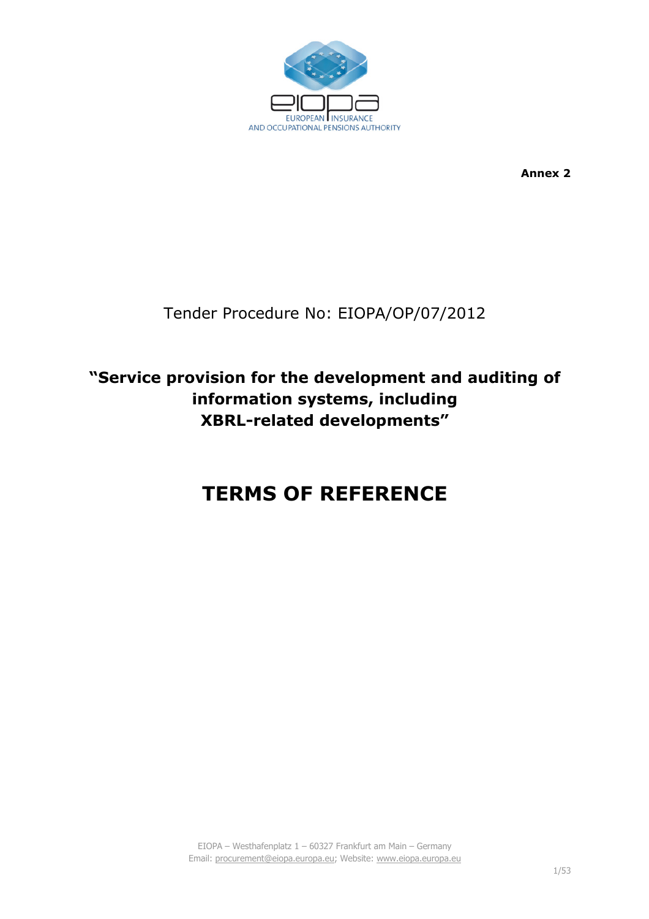

**Annex 2** 

## Tender Procedure No: EIOPA/OP/07/2012

## **"Service provision for the development and auditing of information systems, including XBRL-related developments"**

# **TERMS OF REFERENCE**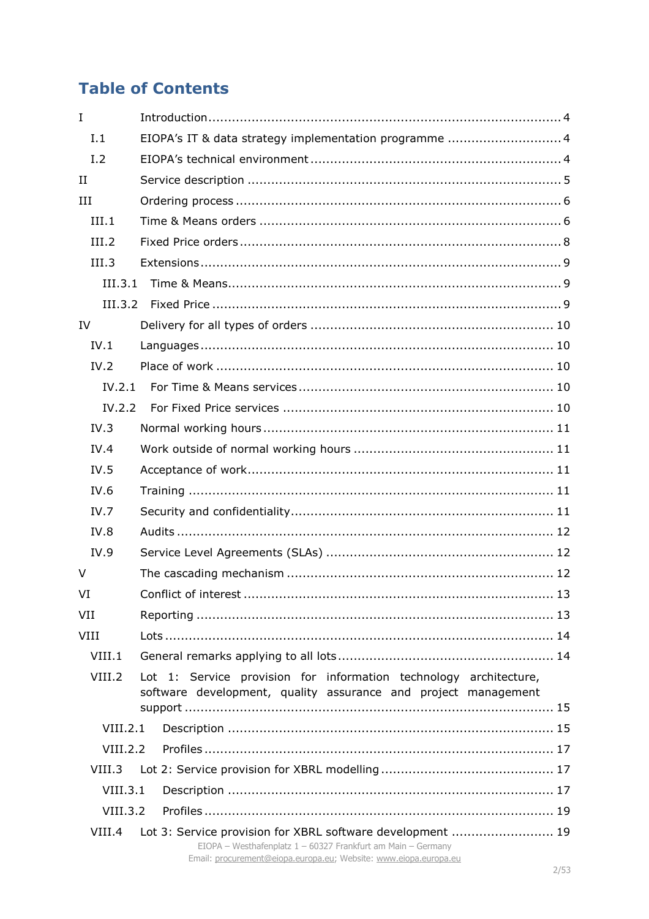## **Table of Contents**

| $\mathbf I$ |                                                                                                                                    |  |
|-------------|------------------------------------------------------------------------------------------------------------------------------------|--|
| I.1         | EIOPA's IT & data strategy implementation programme  4                                                                             |  |
| I.2         |                                                                                                                                    |  |
| $_{\rm II}$ |                                                                                                                                    |  |
| III         |                                                                                                                                    |  |
| III.1       |                                                                                                                                    |  |
| III.2       |                                                                                                                                    |  |
| III.3       |                                                                                                                                    |  |
| III.3.1     |                                                                                                                                    |  |
| III.3.2     |                                                                                                                                    |  |
| IV          |                                                                                                                                    |  |
| IV.1        |                                                                                                                                    |  |
| IV.2        |                                                                                                                                    |  |
| IV.2.1      |                                                                                                                                    |  |
| IV.2.2      |                                                                                                                                    |  |
| IV.3        |                                                                                                                                    |  |
| IV.4        |                                                                                                                                    |  |
| IV.5        |                                                                                                                                    |  |
| IV.6        |                                                                                                                                    |  |
| IV.7        |                                                                                                                                    |  |
| IV.8        |                                                                                                                                    |  |
| IV.9        |                                                                                                                                    |  |
| $\vee$      |                                                                                                                                    |  |
| VI          |                                                                                                                                    |  |
| VII         |                                                                                                                                    |  |
| <b>VIII</b> |                                                                                                                                    |  |
| VIII.1      |                                                                                                                                    |  |
| VIII.2      | Lot 1: Service provision for information technology architecture,                                                                  |  |
|             | software development, quality assurance and project management                                                                     |  |
| VIII.2.1    |                                                                                                                                    |  |
| VIII.2.2    |                                                                                                                                    |  |
| VIII.3      |                                                                                                                                    |  |
| VIII.3.1    |                                                                                                                                    |  |
| VIII.3.2    |                                                                                                                                    |  |
| VIII.4      | Lot 3: Service provision for XBRL software development  19                                                                         |  |
|             | EIOPA - Westhafenplatz $1 - 60327$ Frankfurt am Main - Germany<br>Email: procurement@eiopa.europa.eu; Website: www.eiopa.europa.eu |  |
|             |                                                                                                                                    |  |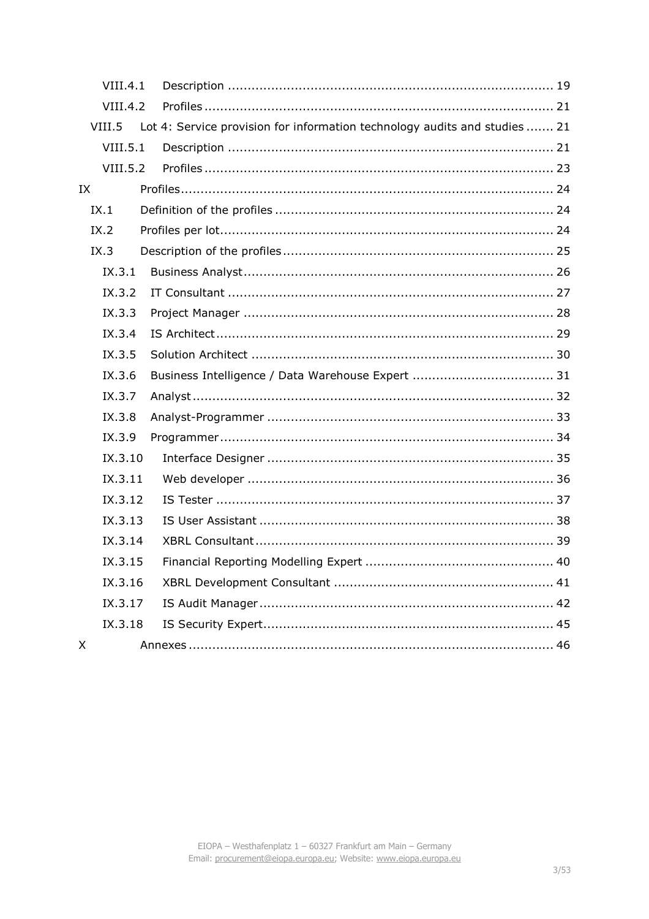|    | VIII.4.1 |                                                                            |  |
|----|----------|----------------------------------------------------------------------------|--|
|    | VIII.4.2 |                                                                            |  |
|    | VIII.5   | Lot 4: Service provision for information technology audits and studies  21 |  |
|    | VIII.5.1 |                                                                            |  |
|    | VIII.5.2 |                                                                            |  |
| IX |          |                                                                            |  |
|    | IX.1     |                                                                            |  |
|    | IX.2     |                                                                            |  |
|    | IX.3     |                                                                            |  |
|    | IX.3.1   |                                                                            |  |
|    | IX.3.2   |                                                                            |  |
|    | IX.3.3   |                                                                            |  |
|    | IX.3.4   |                                                                            |  |
|    | IX.3.5   |                                                                            |  |
|    | IX.3.6   |                                                                            |  |
|    | IX.3.7   |                                                                            |  |
|    | IX.3.8   |                                                                            |  |
|    | IX.3.9   |                                                                            |  |
|    | IX.3.10  |                                                                            |  |
|    | IX.3.11  |                                                                            |  |
|    | IX.3.12  |                                                                            |  |
|    | IX.3.13  |                                                                            |  |
|    | IX.3.14  |                                                                            |  |
|    | IX.3.15  |                                                                            |  |
|    | IX.3.16  |                                                                            |  |
|    | IX.3.17  |                                                                            |  |
|    | IX.3.18  |                                                                            |  |
| X  |          |                                                                            |  |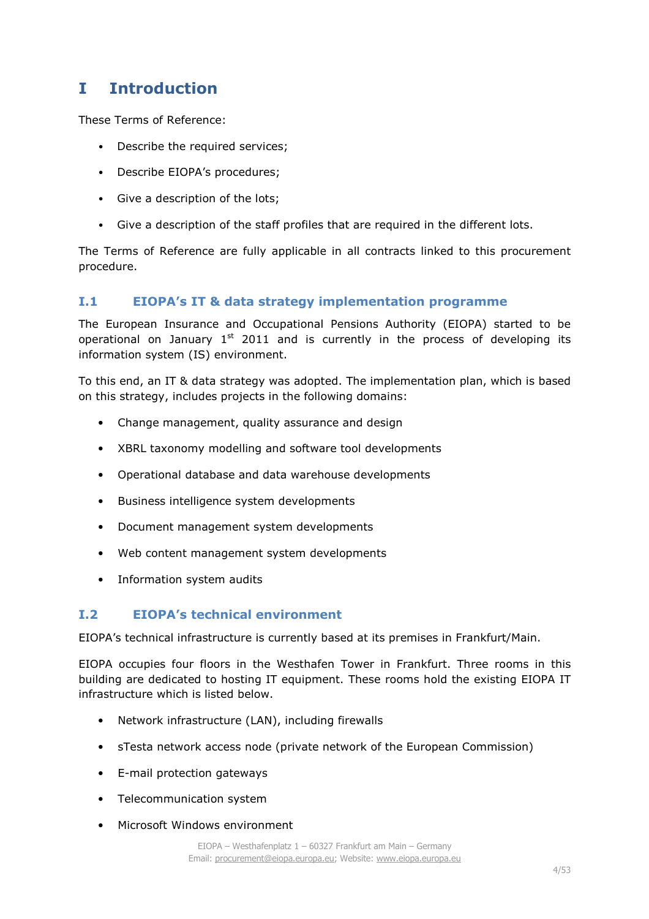## **I Introduction**

These Terms of Reference:

- Describe the required services;
- Describe EIOPA's procedures;
- Give a description of the lots;
- Give a description of the staff profiles that are required in the different lots.

The Terms of Reference are fully applicable in all contracts linked to this procurement procedure.

## **I.1 EIOPA's IT & data strategy implementation programme**

The European Insurance and Occupational Pensions Authority (EIOPA) started to be operational on January  $1<sup>st</sup>$  2011 and is currently in the process of developing its information system (IS) environment.

To this end, an IT & data strategy was adopted. The implementation plan, which is based on this strategy, includes projects in the following domains:

- Change management, quality assurance and design
- XBRL taxonomy modelling and software tool developments
- Operational database and data warehouse developments
- Business intelligence system developments
- Document management system developments
- Web content management system developments
- Information system audits

## **I.2 EIOPA's technical environment**

EIOPA's technical infrastructure is currently based at its premises in Frankfurt/Main.

EIOPA occupies four floors in the Westhafen Tower in Frankfurt. Three rooms in this building are dedicated to hosting IT equipment. These rooms hold the existing EIOPA IT infrastructure which is listed below.

- Network infrastructure (LAN), including firewalls
- sTesta network access node (private network of the European Commission)
- E-mail protection gateways
- Telecommunication system
- Microsoft Windows environment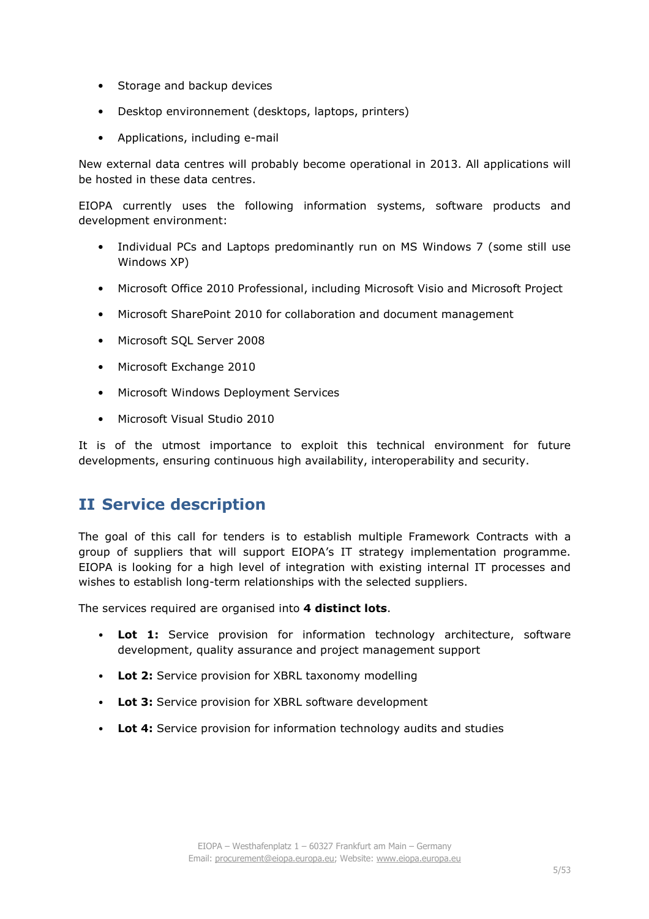- Storage and backup devices
- Desktop environnement (desktops, laptops, printers)
- Applications, including e-mail

New external data centres will probably become operational in 2013. All applications will be hosted in these data centres.

EIOPA currently uses the following information systems, software products and development environment:

- Individual PCs and Laptops predominantly run on MS Windows 7 (some still use Windows XP)
- Microsoft Office 2010 Professional, including Microsoft Visio and Microsoft Project
- Microsoft SharePoint 2010 for collaboration and document management
- Microsoft SQL Server 2008
- Microsoft Exchange 2010
- Microsoft Windows Deployment Services
- Microsoft Visual Studio 2010

It is of the utmost importance to exploit this technical environment for future developments, ensuring continuous high availability, interoperability and security.

## **II Service description**

The goal of this call for tenders is to establish multiple Framework Contracts with a group of suppliers that will support EIOPA's IT strategy implementation programme. EIOPA is looking for a high level of integration with existing internal IT processes and wishes to establish long-term relationships with the selected suppliers.

The services required are organised into **4 distinct lots**.

- **Lot 1:** Service provision for information technology architecture, software development, quality assurance and project management support
- **Lot 2:** Service provision for XBRL taxonomy modelling
- **Lot 3:** Service provision for XBRL software development
- **Lot 4:** Service provision for information technology audits and studies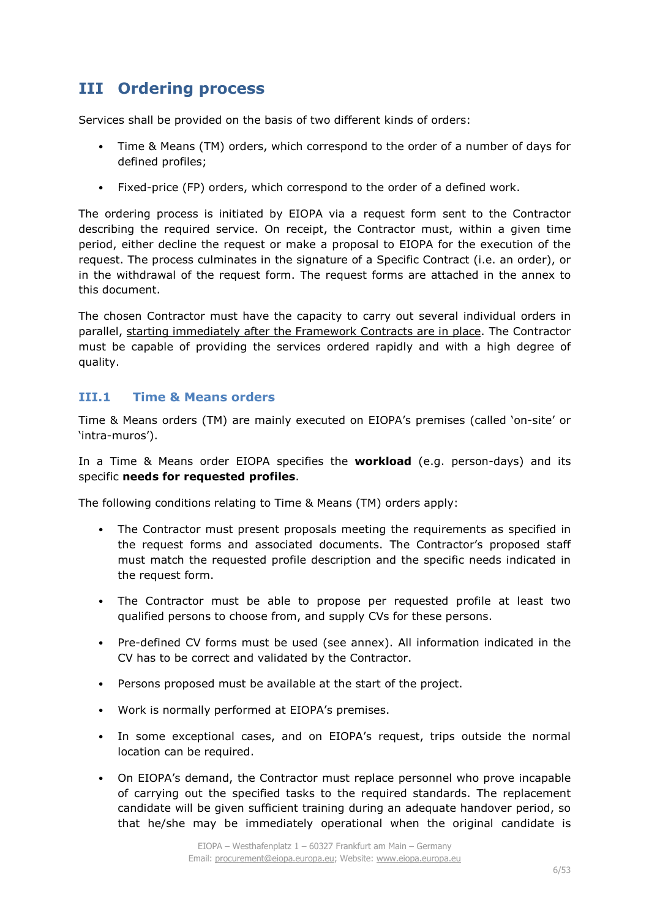## **III Ordering process**

Services shall be provided on the basis of two different kinds of orders:

- Time & Means (TM) orders, which correspond to the order of a number of days for defined profiles;
- Fixed-price (FP) orders, which correspond to the order of a defined work.

The ordering process is initiated by EIOPA via a request form sent to the Contractor describing the required service. On receipt, the Contractor must, within a given time period, either decline the request or make a proposal to EIOPA for the execution of the request. The process culminates in the signature of a Specific Contract (i.e. an order), or in the withdrawal of the request form. The request forms are attached in the annex to this document.

The chosen Contractor must have the capacity to carry out several individual orders in parallel, starting immediately after the Framework Contracts are in place. The Contractor must be capable of providing the services ordered rapidly and with a high degree of quality.

## **III.1 Time & Means orders**

Time & Means orders (TM) are mainly executed on EIOPA's premises (called 'on-site' or 'intra-muros').

In a Time & Means order EIOPA specifies the **workload** (e.g. person-days) and its specific **needs for requested profiles**.

The following conditions relating to Time & Means (TM) orders apply:

- The Contractor must present proposals meeting the requirements as specified in the request forms and associated documents. The Contractor's proposed staff must match the requested profile description and the specific needs indicated in the request form.
- The Contractor must be able to propose per requested profile at least two qualified persons to choose from, and supply CVs for these persons.
- Pre-defined CV forms must be used (see annex). All information indicated in the CV has to be correct and validated by the Contractor.
- Persons proposed must be available at the start of the project.
- Work is normally performed at EIOPA's premises.
- In some exceptional cases, and on EIOPA's request, trips outside the normal location can be required.
- On EIOPA's demand, the Contractor must replace personnel who prove incapable of carrying out the specified tasks to the required standards. The replacement candidate will be given sufficient training during an adequate handover period, so that he/she may be immediately operational when the original candidate is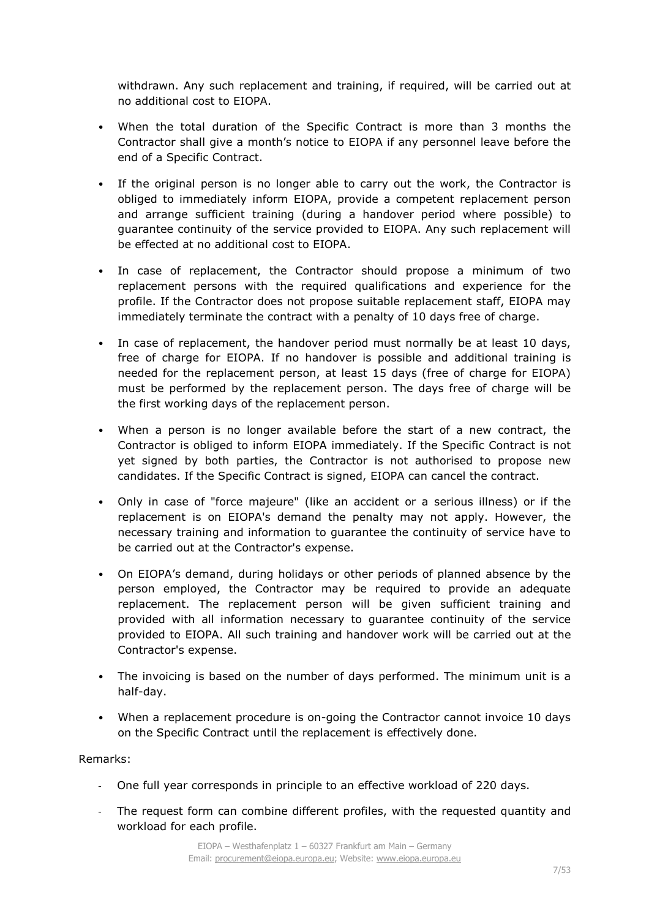withdrawn. Any such replacement and training, if required, will be carried out at no additional cost to EIOPA.

- When the total duration of the Specific Contract is more than 3 months the Contractor shall give a month's notice to EIOPA if any personnel leave before the end of a Specific Contract.
- If the original person is no longer able to carry out the work, the Contractor is obliged to immediately inform EIOPA, provide a competent replacement person and arrange sufficient training (during a handover period where possible) to guarantee continuity of the service provided to EIOPA. Any such replacement will be effected at no additional cost to EIOPA.
- In case of replacement, the Contractor should propose a minimum of two replacement persons with the required qualifications and experience for the profile. If the Contractor does not propose suitable replacement staff, EIOPA may immediately terminate the contract with a penalty of 10 days free of charge.
- In case of replacement, the handover period must normally be at least 10 days, free of charge for EIOPA. If no handover is possible and additional training is needed for the replacement person, at least 15 days (free of charge for EIOPA) must be performed by the replacement person. The days free of charge will be the first working days of the replacement person.
- When a person is no longer available before the start of a new contract, the Contractor is obliged to inform EIOPA immediately. If the Specific Contract is not yet signed by both parties, the Contractor is not authorised to propose new candidates. If the Specific Contract is signed, EIOPA can cancel the contract.
- Only in case of "force majeure" (like an accident or a serious illness) or if the replacement is on EIOPA's demand the penalty may not apply. However, the necessary training and information to guarantee the continuity of service have to be carried out at the Contractor's expense.
- On EIOPA's demand, during holidays or other periods of planned absence by the person employed, the Contractor may be required to provide an adequate replacement. The replacement person will be given sufficient training and provided with all information necessary to guarantee continuity of the service provided to EIOPA. All such training and handover work will be carried out at the Contractor's expense.
- The invoicing is based on the number of days performed. The minimum unit is a half-day.
- When a replacement procedure is on-going the Contractor cannot invoice 10 days on the Specific Contract until the replacement is effectively done.

## Remarks:

- One full year corresponds in principle to an effective workload of 220 days.
- The request form can combine different profiles, with the requested quantity and workload for each profile.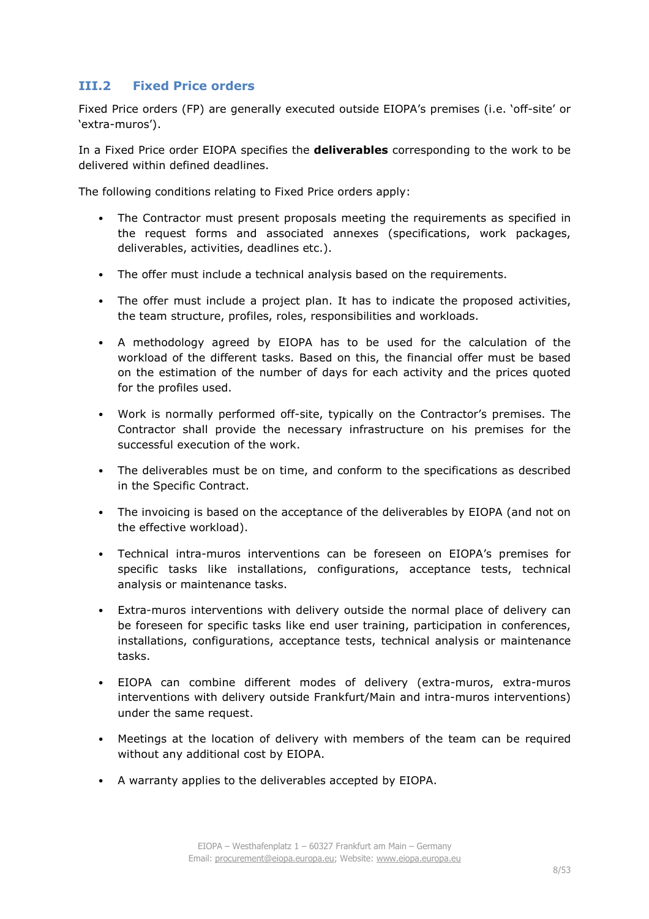## **III.2 Fixed Price orders**

Fixed Price orders (FP) are generally executed outside EIOPA's premises (i.e. 'off-site' or 'extra-muros').

In a Fixed Price order EIOPA specifies the **deliverables** corresponding to the work to be delivered within defined deadlines.

The following conditions relating to Fixed Price orders apply:

- The Contractor must present proposals meeting the requirements as specified in the request forms and associated annexes (specifications, work packages, deliverables, activities, deadlines etc.).
- The offer must include a technical analysis based on the requirements.
- The offer must include a project plan. It has to indicate the proposed activities, the team structure, profiles, roles, responsibilities and workloads.
- A methodology agreed by EIOPA has to be used for the calculation of the workload of the different tasks. Based on this, the financial offer must be based on the estimation of the number of days for each activity and the prices quoted for the profiles used.
- Work is normally performed off-site, typically on the Contractor's premises. The Contractor shall provide the necessary infrastructure on his premises for the successful execution of the work.
- The deliverables must be on time, and conform to the specifications as described in the Specific Contract.
- The invoicing is based on the acceptance of the deliverables by EIOPA (and not on the effective workload).
- Technical intra-muros interventions can be foreseen on EIOPA's premises for specific tasks like installations, configurations, acceptance tests, technical analysis or maintenance tasks.
- Extra-muros interventions with delivery outside the normal place of delivery can be foreseen for specific tasks like end user training, participation in conferences, installations, configurations, acceptance tests, technical analysis or maintenance tasks.
- EIOPA can combine different modes of delivery (extra-muros, extra-muros interventions with delivery outside Frankfurt/Main and intra-muros interventions) under the same request.
- Meetings at the location of delivery with members of the team can be required without any additional cost by EIOPA.
- A warranty applies to the deliverables accepted by EIOPA.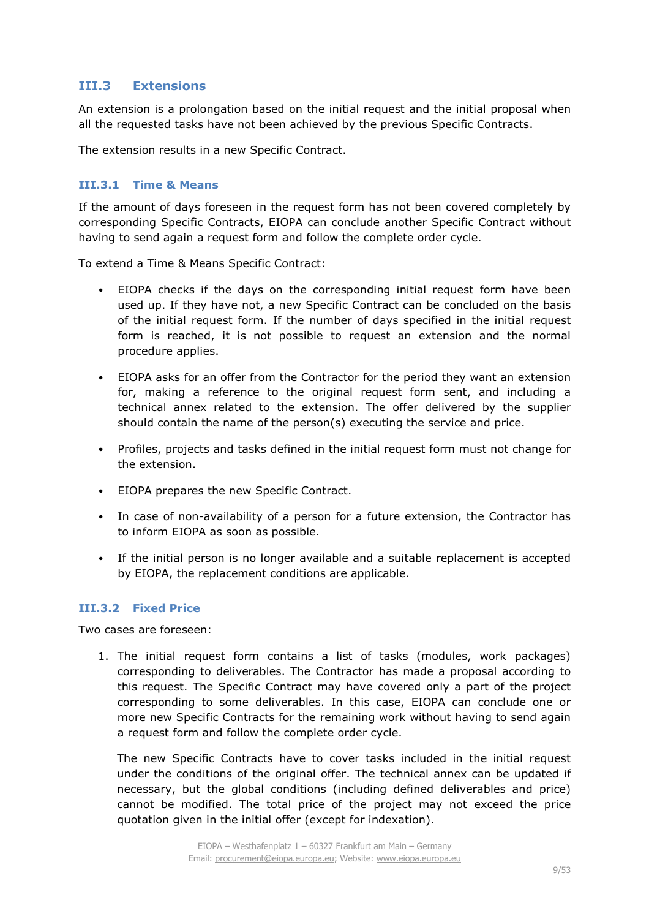## **III.3 Extensions**

An extension is a prolongation based on the initial request and the initial proposal when all the requested tasks have not been achieved by the previous Specific Contracts.

The extension results in a new Specific Contract.

#### **III.3.1 Time & Means**

If the amount of days foreseen in the request form has not been covered completely by corresponding Specific Contracts, EIOPA can conclude another Specific Contract without having to send again a request form and follow the complete order cycle.

To extend a Time & Means Specific Contract:

- EIOPA checks if the days on the corresponding initial request form have been used up. If they have not, a new Specific Contract can be concluded on the basis of the initial request form. If the number of days specified in the initial request form is reached, it is not possible to request an extension and the normal procedure applies.
- EIOPA asks for an offer from the Contractor for the period they want an extension for, making a reference to the original request form sent, and including a technical annex related to the extension. The offer delivered by the supplier should contain the name of the person(s) executing the service and price.
- Profiles, projects and tasks defined in the initial request form must not change for the extension.
- EIOPA prepares the new Specific Contract.
- In case of non-availability of a person for a future extension, the Contractor has to inform EIOPA as soon as possible.
- If the initial person is no longer available and a suitable replacement is accepted by EIOPA, the replacement conditions are applicable.

## **III.3.2 Fixed Price**

Two cases are foreseen:

1. The initial request form contains a list of tasks (modules, work packages) corresponding to deliverables. The Contractor has made a proposal according to this request. The Specific Contract may have covered only a part of the project corresponding to some deliverables. In this case, EIOPA can conclude one or more new Specific Contracts for the remaining work without having to send again a request form and follow the complete order cycle.

The new Specific Contracts have to cover tasks included in the initial request under the conditions of the original offer. The technical annex can be updated if necessary, but the global conditions (including defined deliverables and price) cannot be modified. The total price of the project may not exceed the price quotation given in the initial offer (except for indexation).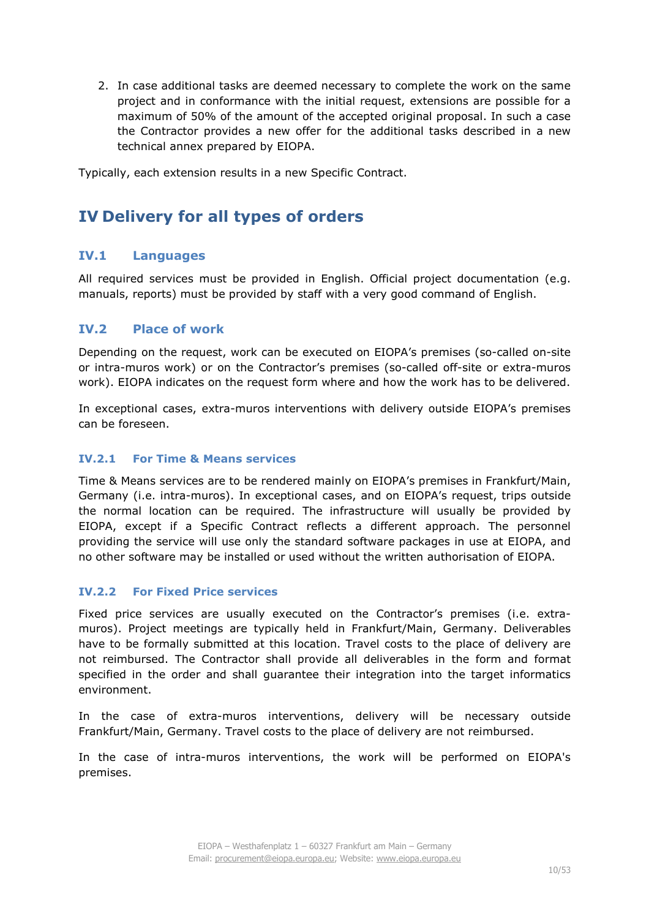2. In case additional tasks are deemed necessary to complete the work on the same project and in conformance with the initial request, extensions are possible for a maximum of 50% of the amount of the accepted original proposal. In such a case the Contractor provides a new offer for the additional tasks described in a new technical annex prepared by EIOPA.

Typically, each extension results in a new Specific Contract.

## **IV Delivery for all types of orders**

## **IV.1 Languages**

All required services must be provided in English. Official project documentation (e.g. manuals, reports) must be provided by staff with a very good command of English.

## **IV.2 Place of work**

Depending on the request, work can be executed on EIOPA's premises (so-called on-site or intra-muros work) or on the Contractor's premises (so-called off-site or extra-muros work). EIOPA indicates on the request form where and how the work has to be delivered.

In exceptional cases, extra-muros interventions with delivery outside EIOPA's premises can be foreseen.

#### **IV.2.1 For Time & Means services**

Time & Means services are to be rendered mainly on EIOPA's premises in Frankfurt/Main, Germany (i.e. intra-muros). In exceptional cases, and on EIOPA's request, trips outside the normal location can be required. The infrastructure will usually be provided by EIOPA, except if a Specific Contract reflects a different approach. The personnel providing the service will use only the standard software packages in use at EIOPA, and no other software may be installed or used without the written authorisation of EIOPA.

## **IV.2.2 For Fixed Price services**

Fixed price services are usually executed on the Contractor's premises (i.e. extramuros). Project meetings are typically held in Frankfurt/Main, Germany. Deliverables have to be formally submitted at this location. Travel costs to the place of delivery are not reimbursed. The Contractor shall provide all deliverables in the form and format specified in the order and shall guarantee their integration into the target informatics environment.

In the case of extra-muros interventions, delivery will be necessary outside Frankfurt/Main, Germany. Travel costs to the place of delivery are not reimbursed.

In the case of intra-muros interventions, the work will be performed on EIOPA's premises.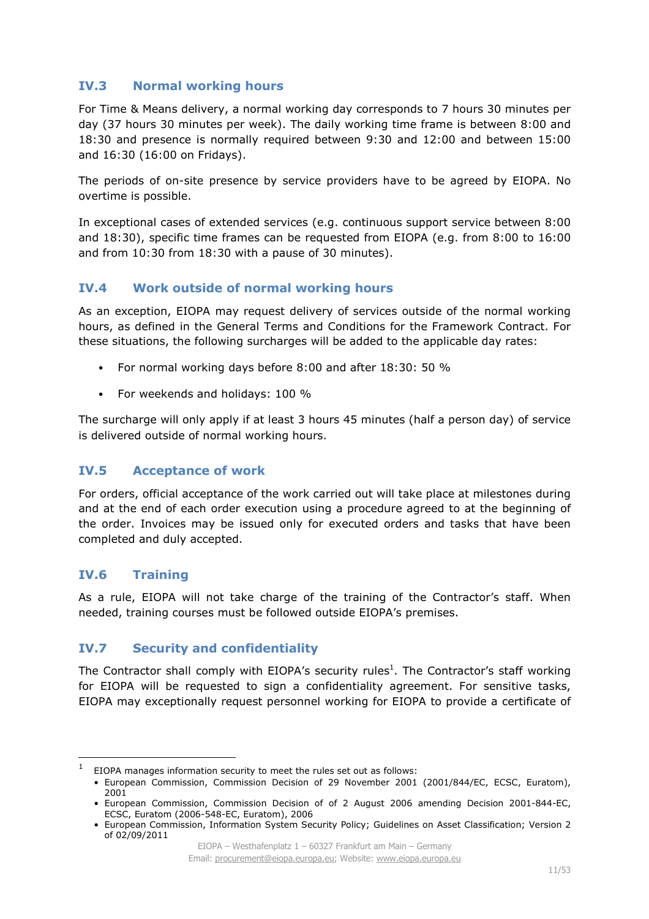## **IV.3 Normal working hours**

For Time & Means delivery, a normal working day corresponds to 7 hours 30 minutes per day (37 hours 30 minutes per week). The daily working time frame is between 8:00 and 18:30 and presence is normally required between 9:30 and 12:00 and between 15:00 and 16:30 (16:00 on Fridays).

The periods of on-site presence by service providers have to be agreed by EIOPA. No overtime is possible.

In exceptional cases of extended services (e.g. continuous support service between 8:00 and 18:30), specific time frames can be requested from EIOPA (e.g. from 8:00 to 16:00 and from 10:30 from 18:30 with a pause of 30 minutes).

## **IV.4 Work outside of normal working hours**

As an exception, EIOPA may request delivery of services outside of the normal working hours, as defined in the General Terms and Conditions for the Framework Contract. For these situations, the following surcharges will be added to the applicable day rates:

- For normal working days before 8:00 and after 18:30: 50 %
- For weekends and holidays: 100 %

The surcharge will only apply if at least 3 hours 45 minutes (half a person day) of service is delivered outside of normal working hours.

## **IV.5 Acceptance of work**

For orders, official acceptance of the work carried out will take place at milestones during and at the end of each order execution using a procedure agreed to at the beginning of the order. Invoices may be issued only for executed orders and tasks that have been completed and duly accepted.

## **IV.6 Training**

l

As a rule, EIOPA will not take charge of the training of the Contractor's staff. When needed, training courses must be followed outside EIOPA's premises.

## **IV.7 Security and confidentiality**

The Contractor shall comply with EIOPA's security rules<sup>1</sup>. The Contractor's staff working for EIOPA will be requested to sign a confidentiality agreement. For sensitive tasks, EIOPA may exceptionally request personnel working for EIOPA to provide a certificate of

<sup>1</sup> EIOPA manages information security to meet the rules set out as follows:

<sup>•</sup> European Commission, Commission Decision of 29 November 2001 (2001/844/EC, ECSC, Euratom), 2001

<sup>•</sup> European Commission, Commission Decision of of 2 August 2006 amending Decision 2001-844-EC, ECSC, Euratom (2006-548-EC, Euratom), 2006

<sup>•</sup> European Commission, Information System Security Policy; Guidelines on Asset Classification; Version 2 of 02/09/2011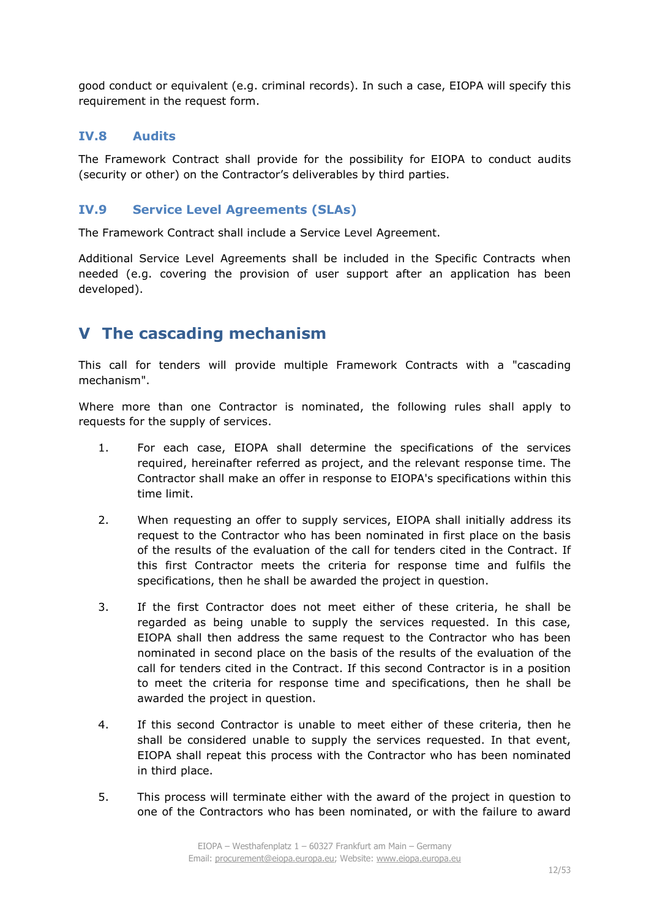good conduct or equivalent (e.g. criminal records). In such a case, EIOPA will specify this requirement in the request form.

## **IV.8 Audits**

The Framework Contract shall provide for the possibility for EIOPA to conduct audits (security or other) on the Contractor's deliverables by third parties.

## **IV.9 Service Level Agreements (SLAs)**

The Framework Contract shall include a Service Level Agreement.

Additional Service Level Agreements shall be included in the Specific Contracts when needed (e.g. covering the provision of user support after an application has been developed).

## **V The cascading mechanism**

This call for tenders will provide multiple Framework Contracts with a "cascading mechanism".

Where more than one Contractor is nominated, the following rules shall apply to requests for the supply of services.

- 1. For each case, EIOPA shall determine the specifications of the services required, hereinafter referred as project, and the relevant response time. The Contractor shall make an offer in response to EIOPA's specifications within this time limit.
- 2. When requesting an offer to supply services, EIOPA shall initially address its request to the Contractor who has been nominated in first place on the basis of the results of the evaluation of the call for tenders cited in the Contract. If this first Contractor meets the criteria for response time and fulfils the specifications, then he shall be awarded the project in question.
- 3. If the first Contractor does not meet either of these criteria, he shall be regarded as being unable to supply the services requested. In this case, EIOPA shall then address the same request to the Contractor who has been nominated in second place on the basis of the results of the evaluation of the call for tenders cited in the Contract. If this second Contractor is in a position to meet the criteria for response time and specifications, then he shall be awarded the project in question.
- 4. If this second Contractor is unable to meet either of these criteria, then he shall be considered unable to supply the services requested. In that event, EIOPA shall repeat this process with the Contractor who has been nominated in third place.
- 5. This process will terminate either with the award of the project in question to one of the Contractors who has been nominated, or with the failure to award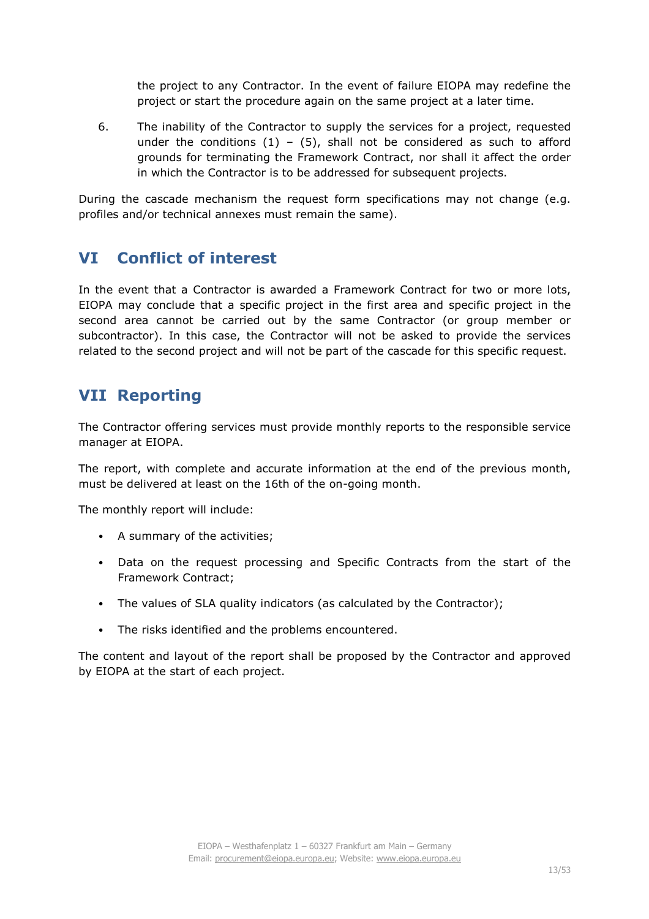the project to any Contractor. In the event of failure EIOPA may redefine the project or start the procedure again on the same project at a later time.

6. The inability of the Contractor to supply the services for a project, requested under the conditions  $(1) - (5)$ , shall not be considered as such to afford grounds for terminating the Framework Contract, nor shall it affect the order in which the Contractor is to be addressed for subsequent projects.

During the cascade mechanism the request form specifications may not change (e.g. profiles and/or technical annexes must remain the same).

## **VI Conflict of interest**

In the event that a Contractor is awarded a Framework Contract for two or more lots, EIOPA may conclude that a specific project in the first area and specific project in the second area cannot be carried out by the same Contractor (or group member or subcontractor). In this case, the Contractor will not be asked to provide the services related to the second project and will not be part of the cascade for this specific request.

## **VII Reporting**

The Contractor offering services must provide monthly reports to the responsible service manager at EIOPA.

The report, with complete and accurate information at the end of the previous month, must be delivered at least on the 16th of the on-going month.

The monthly report will include:

- A summary of the activities;
- Data on the request processing and Specific Contracts from the start of the Framework Contract;
- The values of SLA quality indicators (as calculated by the Contractor);
- The risks identified and the problems encountered.

The content and layout of the report shall be proposed by the Contractor and approved by EIOPA at the start of each project.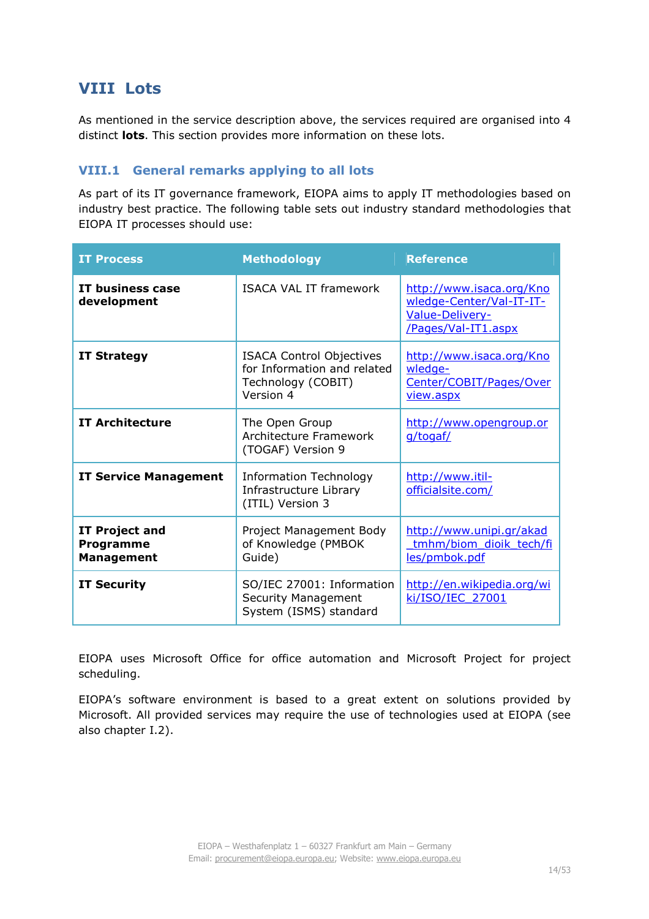## **VIII Lots**

As mentioned in the service description above, the services required are organised into 4 distinct **lots**. This section provides more information on these lots.

## **VIII.1 General remarks applying to all lots**

As part of its IT governance framework, EIOPA aims to apply IT methodologies based on industry best practice. The following table sets out industry standard methodologies that EIOPA IT processes should use:

| <b>IT Process</b>                                       | <b>Methodology</b>                                                                                | <b>Reference</b>                                                                               |
|---------------------------------------------------------|---------------------------------------------------------------------------------------------------|------------------------------------------------------------------------------------------------|
| <b>IT business case</b><br>development                  | <b>ISACA VAL IT framework</b>                                                                     | http://www.isaca.org/Kno<br>wledge-Center/Val-IT-IT-<br>Value-Delivery-<br>/Pages/Val-IT1.aspx |
| <b>IT Strategy</b>                                      | <b>ISACA Control Objectives</b><br>for Information and related<br>Technology (COBIT)<br>Version 4 | http://www.isaca.org/Kno<br>wledge-<br>Center/COBIT/Pages/Over<br>view.aspx                    |
| <b>IT Architecture</b>                                  | The Open Group<br>Architecture Framework<br>(TOGAF) Version 9                                     | http://www.opengroup.or<br>g/togaf/                                                            |
| <b>IT Service Management</b>                            | <b>Information Technology</b><br>Infrastructure Library<br>(ITIL) Version 3                       | http://www.itil-<br>officialsite.com/                                                          |
| <b>IT Project and</b><br>Programme<br><b>Management</b> | Project Management Body<br>of Knowledge (PMBOK<br>Guide)                                          | http://www.unipi.gr/akad<br>tmhm/biom dioik tech/fi<br>les/pmbok.pdf                           |
| <b>IT Security</b>                                      | SO/IEC 27001: Information<br>Security Management<br>System (ISMS) standard                        | http://en.wikipedia.org/wi<br>ki/ISO/IEC_27001                                                 |

EIOPA uses Microsoft Office for office automation and Microsoft Project for project scheduling.

EIOPA's software environment is based to a great extent on solutions provided by Microsoft. All provided services may require the use of technologies used at EIOPA (see also chapter I.2).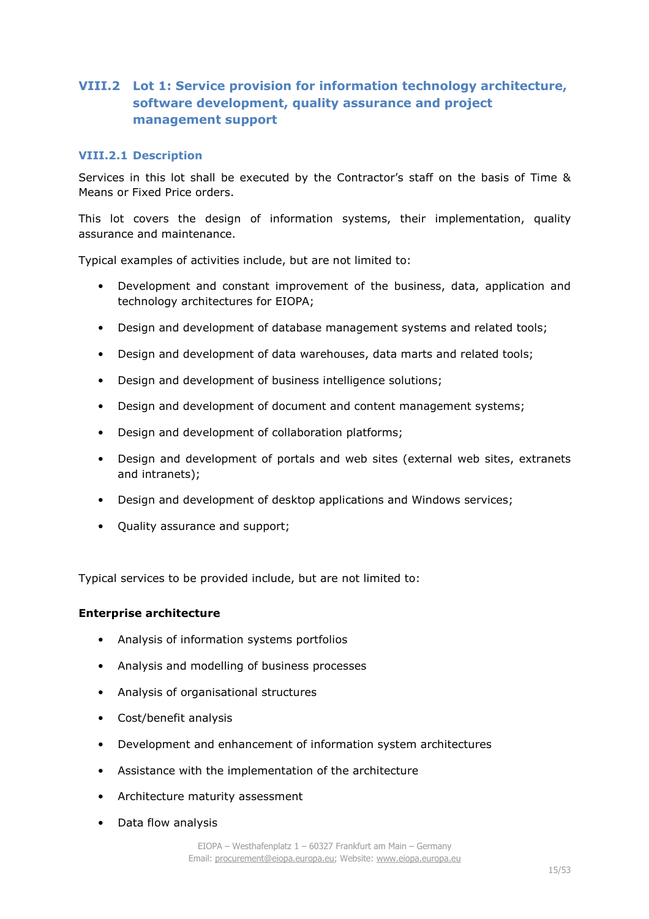## **VIII.2 Lot 1: Service provision for information technology architecture, software development, quality assurance and project management support**

#### **VIII.2.1 Description**

Services in this lot shall be executed by the Contractor's staff on the basis of Time & Means or Fixed Price orders.

This lot covers the design of information systems, their implementation, quality assurance and maintenance.

Typical examples of activities include, but are not limited to:

- Development and constant improvement of the business, data, application and technology architectures for EIOPA;
- Design and development of database management systems and related tools;
- Design and development of data warehouses, data marts and related tools;
- Design and development of business intelligence solutions;
- Design and development of document and content management systems;
- Design and development of collaboration platforms;
- Design and development of portals and web sites (external web sites, extranets and intranets);
- Design and development of desktop applications and Windows services;
- Quality assurance and support;

Typical services to be provided include, but are not limited to:

#### **Enterprise architecture**

- Analysis of information systems portfolios
- Analysis and modelling of business processes
- Analysis of organisational structures
- Cost/benefit analysis
- Development and enhancement of information system architectures
- Assistance with the implementation of the architecture
- Architecture maturity assessment
- Data flow analysis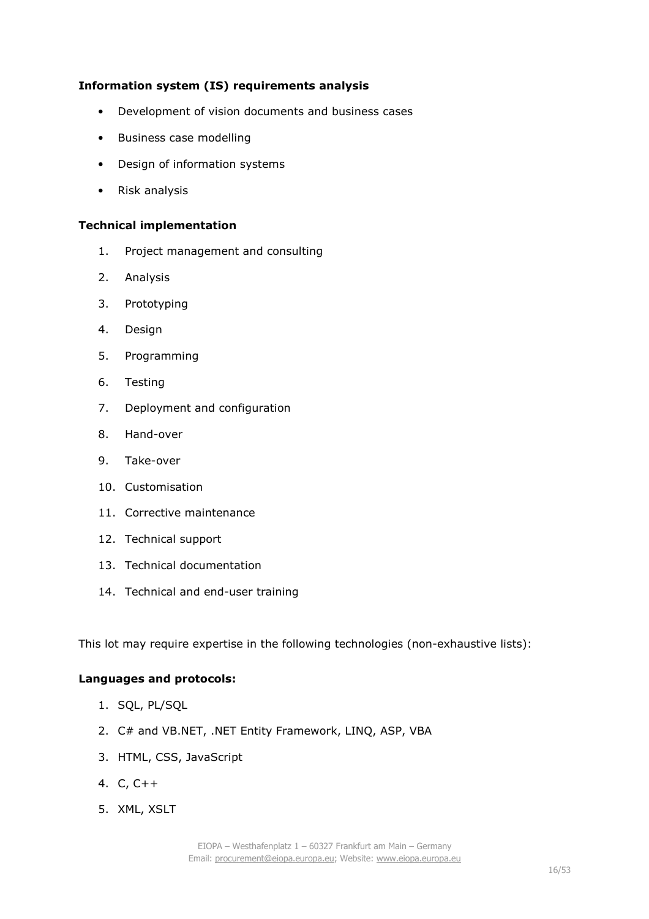## **Information system (IS) requirements analysis**

- Development of vision documents and business cases
- Business case modelling
- Design of information systems
- Risk analysis

#### **Technical implementation**

- 1. Project management and consulting
- 2. Analysis
- 3. Prototyping
- 4. Design
- 5. Programming
- 6. Testing
- 7. Deployment and configuration
- 8. Hand-over
- 9. Take-over
- 10. Customisation
- 11. Corrective maintenance
- 12. Technical support
- 13. Technical documentation
- 14. Technical and end-user training

This lot may require expertise in the following technologies (non-exhaustive lists):

#### **Languages and protocols:**

- 1. SQL, PL/SQL
- 2. C# and VB.NET, .NET Entity Framework, LINQ, ASP, VBA
- 3. HTML, CSS, JavaScript
- 4. C, C++
- 5. XML, XSLT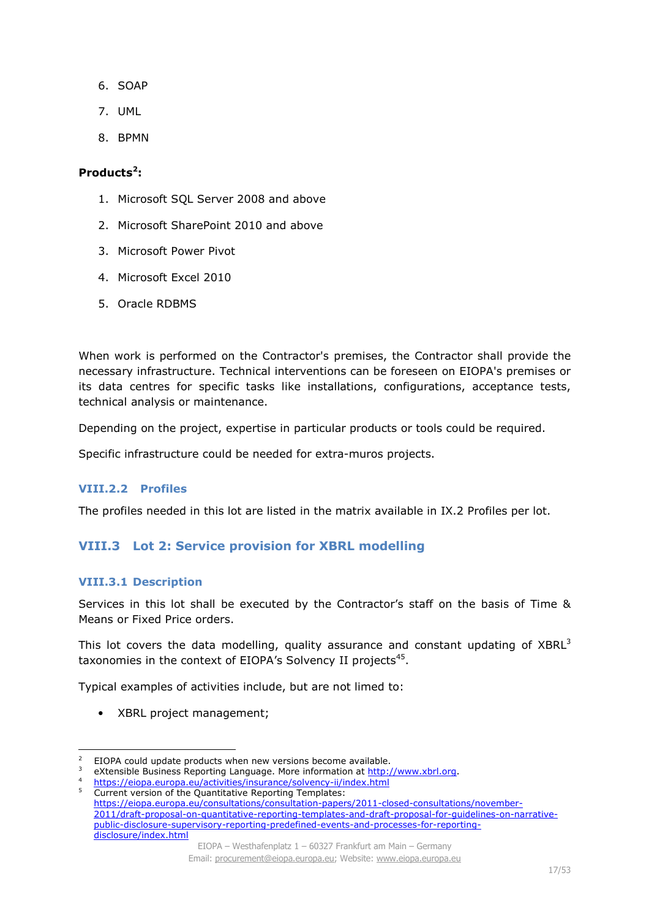- 6. SOAP
- 7. UML
- 8. BPMN

#### **Products<sup>2</sup> :**

- 1. Microsoft SQL Server 2008 and above
- 2. Microsoft SharePoint 2010 and above
- 3. Microsoft Power Pivot
- 4. Microsoft Excel 2010
- 5. Oracle RDBMS

When work is performed on the Contractor's premises, the Contractor shall provide the necessary infrastructure. Technical interventions can be foreseen on EIOPA's premises or its data centres for specific tasks like installations, configurations, acceptance tests, technical analysis or maintenance.

Depending on the project, expertise in particular products or tools could be required.

Specific infrastructure could be needed for extra-muros projects.

## **VIII.2.2 Profiles**

The profiles needed in this lot are listed in the matrix available in IX.2 Profiles per lot.

## **VIII.3 Lot 2: Service provision for XBRL modelling**

#### **VIII.3.1 Description**

Services in this lot shall be executed by the Contractor's staff on the basis of Time & Means or Fixed Price orders.

This lot covers the data modelling, quality assurance and constant updating of  $XBRL<sup>3</sup>$ taxonomies in the context of EIOPA's Solvency II projects<sup>45</sup>.

Typical examples of activities include, but are not limed to:

• XBRL project management;

 2 EIOPA could update products when new versions become available.

<sup>3</sup> eXtensible Business Reporting Language. More information at http://www.xbrl.org.

<sup>&</sup>lt;sup>4</sup> https://eiopa.europa.eu/activities/insurance/solvency-ii/index.html 5 Current version of the Quantitative Reporting Templates:

https://eiopa.europa.eu/consultations/consultation-papers/2011-closed-consultations/november-2011/draft-proposal-on-quantitative-reporting-templates-and-draft-proposal-for-quidelines-on-narrativepublic-disclosure-supervisory-reporting-predefined-events-and-processes-for-reportingdisclosure/index.html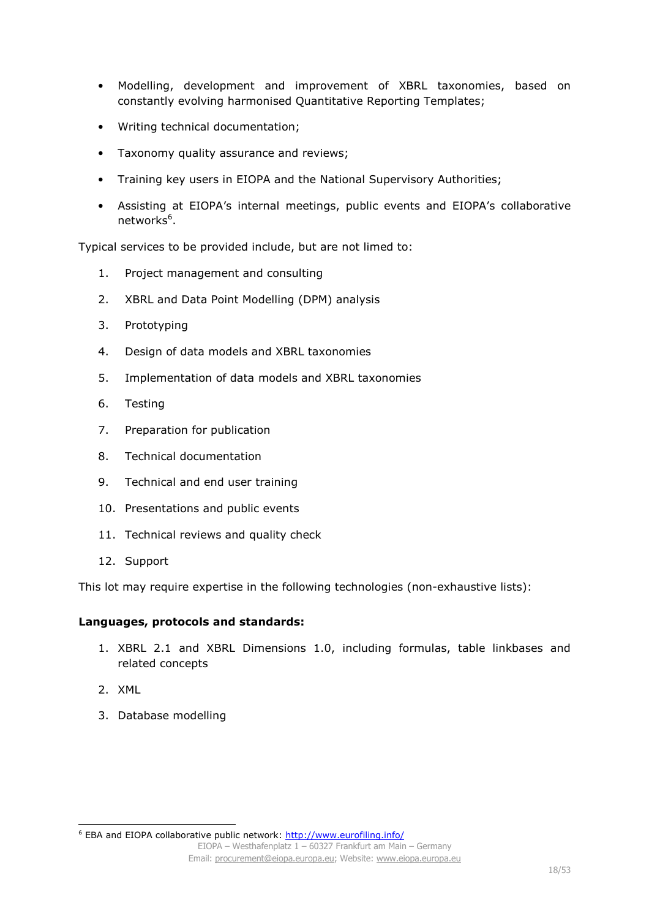- Modelling, development and improvement of XBRL taxonomies, based on constantly evolving harmonised Quantitative Reporting Templates;
- Writing technical documentation;
- Taxonomy quality assurance and reviews;
- Training key users in EIOPA and the National Supervisory Authorities;
- Assisting at EIOPA's internal meetings, public events and EIOPA's collaborative networks<sup>6</sup>.

Typical services to be provided include, but are not limed to:

- 1. Project management and consulting
- 2. XBRL and Data Point Modelling (DPM) analysis
- 3. Prototyping
- 4. Design of data models and XBRL taxonomies
- 5. Implementation of data models and XBRL taxonomies
- 6. Testing
- 7. Preparation for publication
- 8. Technical documentation
- 9. Technical and end user training
- 10. Presentations and public events
- 11. Technical reviews and quality check
- 12. Support

This lot may require expertise in the following technologies (non-exhaustive lists):

#### **Languages, protocols and standards:**

- 1. XBRL 2.1 and XBRL Dimensions 1.0, including formulas, table linkbases and related concepts
- 2. XML

l

3. Database modelling

<sup>&</sup>lt;sup>6</sup> EBA and EIOPA collaborative public network: http://www.eurofiling.info/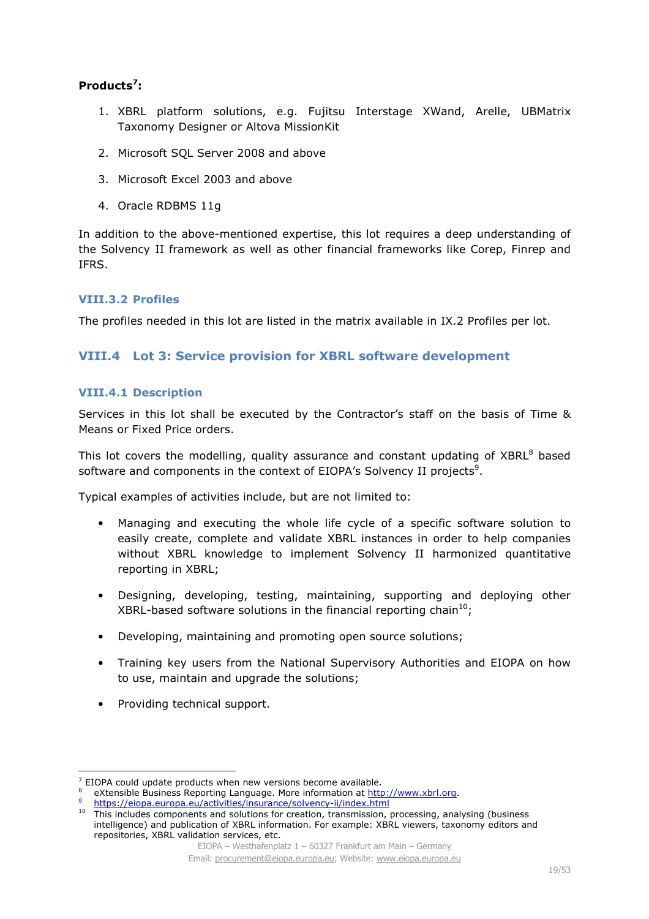## **Products<sup>7</sup> :**

- 1. XBRL platform solutions, e.g. Fujitsu Interstage XWand, Arelle, UBMatrix Taxonomy Designer or Altova MissionKit
- 2. Microsoft SQL Server 2008 and above
- 3. Microsoft Excel 2003 and above
- 4. Oracle RDBMS 11g

In addition to the above-mentioned expertise, this lot requires a deep understanding of the Solvency II framework as well as other financial frameworks like Corep, Finrep and IFRS.

## **VIII.3.2 Profiles**

The profiles needed in this lot are listed in the matrix available in IX.2 Profiles per lot.

## **VIII.4 Lot 3: Service provision for XBRL software development**

#### **VIII.4.1 Description**

Services in this lot shall be executed by the Contractor's staff on the basis of Time & Means or Fixed Price orders.

This lot covers the modelling, quality assurance and constant updating of  $XBRL<sup>8</sup>$  based software and components in the context of EIOPA's Solvency II projects<sup>9</sup>.

Typical examples of activities include, but are not limited to:

- Managing and executing the whole life cycle of a specific software solution to easily create, complete and validate XBRL instances in order to help companies without XBRL knowledge to implement Solvency II harmonized quantitative reporting in XBRL;
- Designing, developing, testing, maintaining, supporting and deploying other XBRL-based software solutions in the financial reporting chain<sup>10</sup>;
- Developing, maintaining and promoting open source solutions;
- Training key users from the National Supervisory Authorities and EIOPA on how to use, maintain and upgrade the solutions;
- Providing technical support.

i,

 $7$  EIOPA could update products when new versions become available.

<sup>8</sup> eXtensible Business Reporting Language. More information at http://www.xbrl.org.

<sup>9</sup> https://eiopa.europa.eu/activities/insurance/solvency-ii/index.html

 $10$  This includes components and solutions for creation, transmission, processing, analysing (business intelligence) and publication of XBRL information. For example: XBRL viewers, taxonomy editors and repositories, XBRL validation services, etc.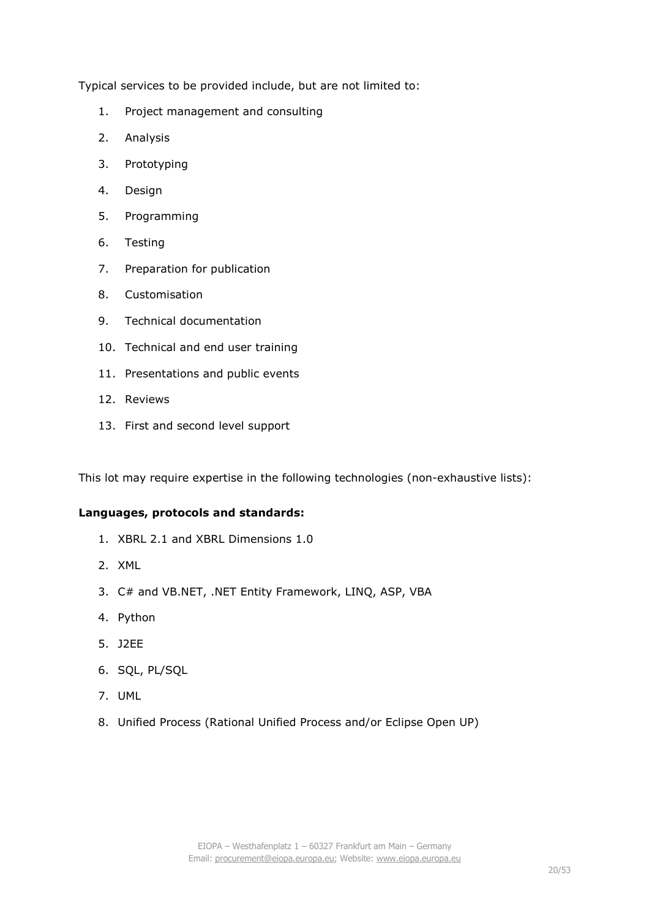Typical services to be provided include, but are not limited to:

- 1. Project management and consulting
- 2. Analysis
- 3. Prototyping
- 4. Design
- 5. Programming
- 6. Testing
- 7. Preparation for publication
- 8. Customisation
- 9. Technical documentation
- 10. Technical and end user training
- 11. Presentations and public events
- 12. Reviews
- 13. First and second level support

This lot may require expertise in the following technologies (non-exhaustive lists):

#### **Languages, protocols and standards:**

- 1. XBRL 2.1 and XBRL Dimensions 1.0
- 2. XML
- 3. C# and VB.NET, .NET Entity Framework, LINQ, ASP, VBA
- 4. Python
- 5. J2EE
- 6. SQL, PL/SQL
- 7. UML
- 8. Unified Process (Rational Unified Process and/or Eclipse Open UP)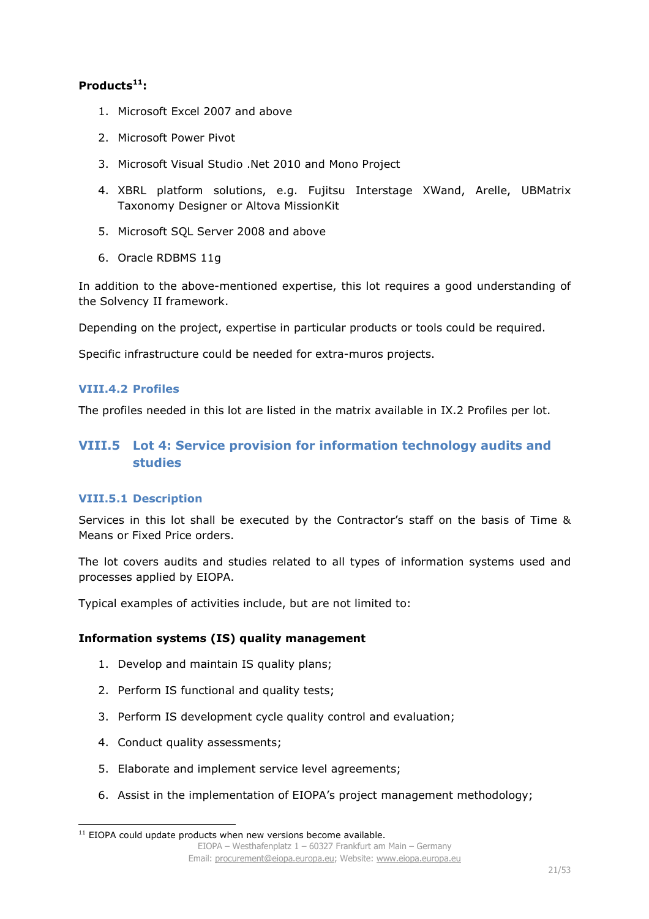## **Products<sup>11</sup>:**

- 1. Microsoft Excel 2007 and above
- 2. Microsoft Power Pivot
- 3. Microsoft Visual Studio .Net 2010 and Mono Project
- 4. XBRL platform solutions, e.g. Fujitsu Interstage XWand, Arelle, UBMatrix Taxonomy Designer or Altova MissionKit
- 5. Microsoft SQL Server 2008 and above
- 6. Oracle RDBMS 11g

In addition to the above-mentioned expertise, this lot requires a good understanding of the Solvency II framework.

Depending on the project, expertise in particular products or tools could be required.

Specific infrastructure could be needed for extra-muros projects.

## **VIII.4.2 Profiles**

The profiles needed in this lot are listed in the matrix available in IX.2 Profiles per lot.

## **VIII.5 Lot 4: Service provision for information technology audits and studies**

## **VIII.5.1 Description**

Services in this lot shall be executed by the Contractor's staff on the basis of Time & Means or Fixed Price orders.

The lot covers audits and studies related to all types of information systems used and processes applied by EIOPA.

Typical examples of activities include, but are not limited to:

## **Information systems (IS) quality management**

- 1. Develop and maintain IS quality plans;
- 2. Perform IS functional and quality tests;
- 3. Perform IS development cycle quality control and evaluation;
- 4. Conduct quality assessments;
- 5. Elaborate and implement service level agreements;
- 6. Assist in the implementation of EIOPA's project management methodology;

EIOPA – Westhafenplatz 1 – 60327 Frankfurt am Main – Germany Email: procurement@eiopa.europa.eu; Website: www.eiopa.europa.eu l  $11$  EIOPA could update products when new versions become available.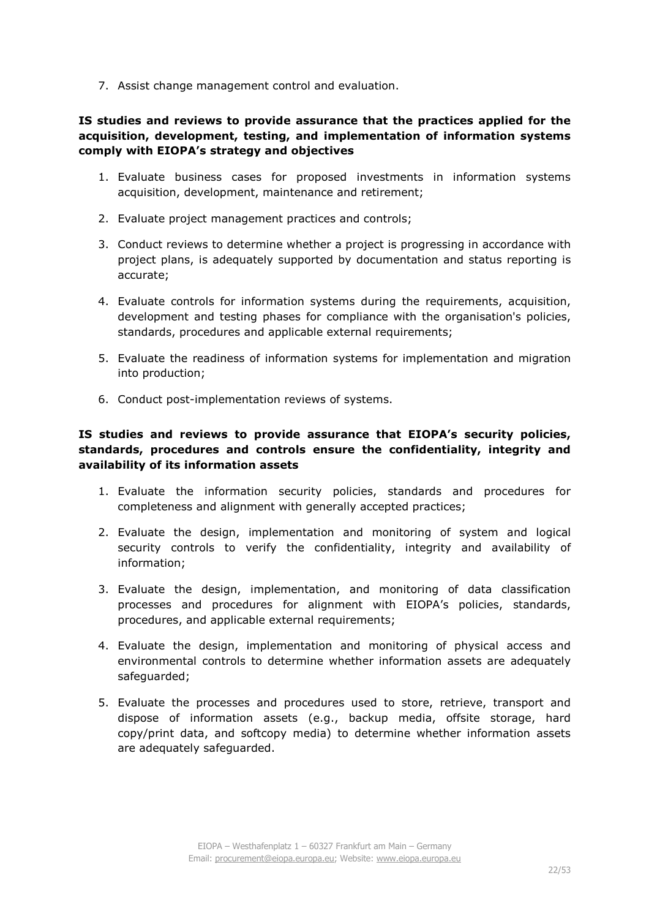7. Assist change management control and evaluation.

## **IS studies and reviews to provide assurance that the practices applied for the acquisition, development, testing, and implementation of information systems comply with EIOPA's strategy and objectives**

- 1. Evaluate business cases for proposed investments in information systems acquisition, development, maintenance and retirement;
- 2. Evaluate project management practices and controls;
- 3. Conduct reviews to determine whether a project is progressing in accordance with project plans, is adequately supported by documentation and status reporting is accurate;
- 4. Evaluate controls for information systems during the requirements, acquisition, development and testing phases for compliance with the organisation's policies, standards, procedures and applicable external requirements;
- 5. Evaluate the readiness of information systems for implementation and migration into production;
- 6. Conduct post-implementation reviews of systems.

## **IS studies and reviews to provide assurance that EIOPA's security policies, standards, procedures and controls ensure the confidentiality, integrity and availability of its information assets**

- 1. Evaluate the information security policies, standards and procedures for completeness and alignment with generally accepted practices;
- 2. Evaluate the design, implementation and monitoring of system and logical security controls to verify the confidentiality, integrity and availability of information;
- 3. Evaluate the design, implementation, and monitoring of data classification processes and procedures for alignment with EIOPA's policies, standards, procedures, and applicable external requirements;
- 4. Evaluate the design, implementation and monitoring of physical access and environmental controls to determine whether information assets are adequately safeguarded;
- 5. Evaluate the processes and procedures used to store, retrieve, transport and dispose of information assets (e.g., backup media, offsite storage, hard copy/print data, and softcopy media) to determine whether information assets are adequately safeguarded.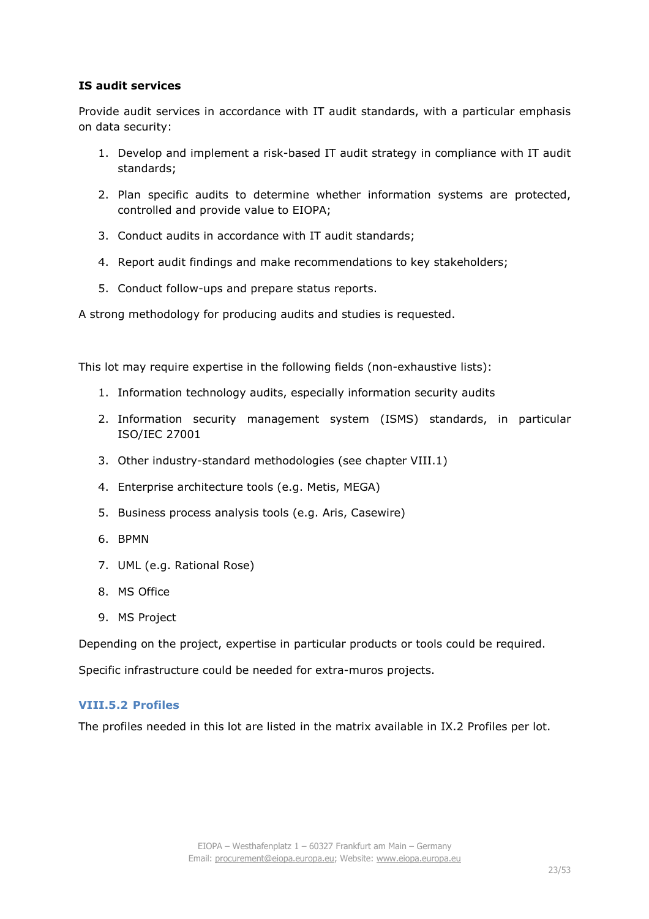## **IS audit services**

Provide audit services in accordance with IT audit standards, with a particular emphasis on data security:

- 1. Develop and implement a risk-based IT audit strategy in compliance with IT audit standards;
- 2. Plan specific audits to determine whether information systems are protected, controlled and provide value to EIOPA;
- 3. Conduct audits in accordance with IT audit standards;
- 4. Report audit findings and make recommendations to key stakeholders;
- 5. Conduct follow-ups and prepare status reports.

A strong methodology for producing audits and studies is requested.

This lot may require expertise in the following fields (non-exhaustive lists):

- 1. Information technology audits, especially information security audits
- 2. Information security management system (ISMS) standards, in particular ISO/IEC 27001
- 3. Other industry-standard methodologies (see chapter VIII.1)
- 4. Enterprise architecture tools (e.g. Metis, MEGA)
- 5. Business process analysis tools (e.g. Aris, Casewire)
- 6. BPMN
- 7. UML (e.g. Rational Rose)
- 8. MS Office
- 9. MS Project

Depending on the project, expertise in particular products or tools could be required.

Specific infrastructure could be needed for extra-muros projects.

#### **VIII.5.2 Profiles**

The profiles needed in this lot are listed in the matrix available in IX.2 Profiles per lot.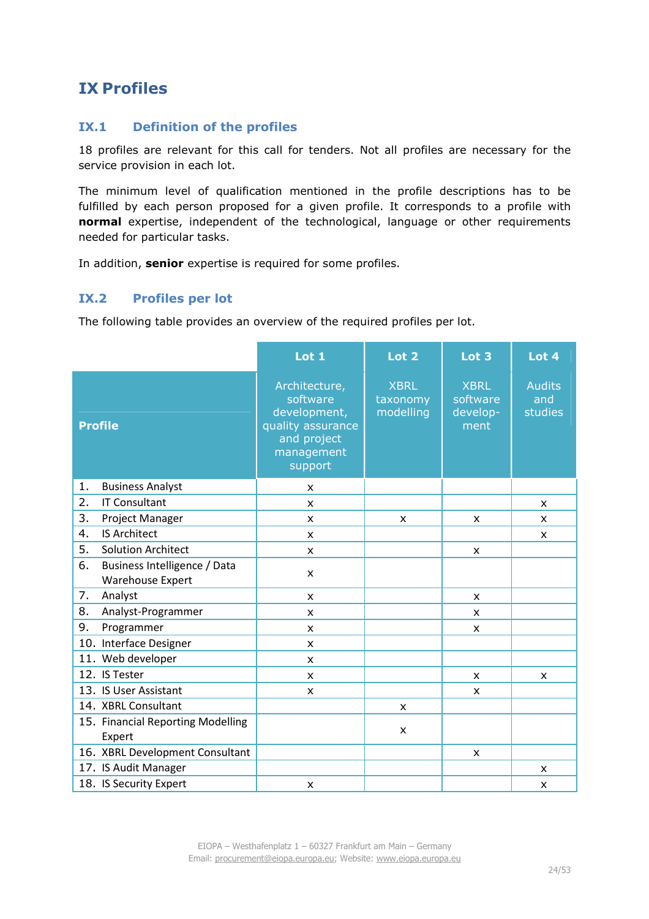## **IX Profiles**

## **IX.1 Definition of the profiles**

18 profiles are relevant for this call for tenders. Not all profiles are necessary for the service provision in each lot.

The minimum level of qualification mentioned in the profile descriptions has to be fulfilled by each person proposed for a given profile. It corresponds to a profile with **normal** expertise, independent of the technological, language or other requirements needed for particular tasks.

In addition, **senior** expertise is required for some profiles.

## **IX.2 Profiles per lot**

The following table provides an overview of the required profiles per lot.

|                                                        | Lot 1                                                                                                  | Lot <sub>2</sub>                     | Lot 3                                       | Lot 4                           |
|--------------------------------------------------------|--------------------------------------------------------------------------------------------------------|--------------------------------------|---------------------------------------------|---------------------------------|
| <b>Profile</b>                                         | Architecture,<br>software<br>development,<br>quality assurance<br>and project<br>management<br>support | <b>XBRL</b><br>taxonomy<br>modelling | <b>XBRL</b><br>software<br>develop-<br>ment | <b>Audits</b><br>and<br>studies |
| 1.<br><b>Business Analyst</b>                          | X                                                                                                      |                                      |                                             |                                 |
| 2.<br><b>IT Consultant</b>                             | X                                                                                                      |                                      |                                             | X                               |
| 3.<br>Project Manager                                  | x                                                                                                      | X                                    | x                                           | x                               |
| <b>IS Architect</b><br>4.                              | $\mathsf{x}$                                                                                           |                                      |                                             | X                               |
| 5.<br><b>Solution Architect</b>                        | X                                                                                                      |                                      | X                                           |                                 |
| 6.<br>Business Intelligence / Data<br>Warehouse Expert | X                                                                                                      |                                      |                                             |                                 |
| 7.<br>Analyst                                          | $\mathsf{x}$                                                                                           |                                      | x                                           |                                 |
| 8.<br>Analyst-Programmer                               | X                                                                                                      |                                      | X                                           |                                 |
| 9.<br>Programmer                                       | X                                                                                                      |                                      | X                                           |                                 |
| 10. Interface Designer                                 | $\mathsf{x}$                                                                                           |                                      |                                             |                                 |
| 11. Web developer                                      | X                                                                                                      |                                      |                                             |                                 |
| 12. IS Tester                                          | X                                                                                                      |                                      | X                                           | X                               |
| 13. IS User Assistant                                  | X                                                                                                      |                                      | X                                           |                                 |
| 14. XBRL Consultant                                    |                                                                                                        | x                                    |                                             |                                 |
| 15. Financial Reporting Modelling<br>Expert            |                                                                                                        | X                                    |                                             |                                 |
| 16. XBRL Development Consultant                        |                                                                                                        |                                      | X                                           |                                 |
| 17. IS Audit Manager                                   |                                                                                                        |                                      |                                             | X                               |
| 18. IS Security Expert                                 | X                                                                                                      |                                      |                                             | X                               |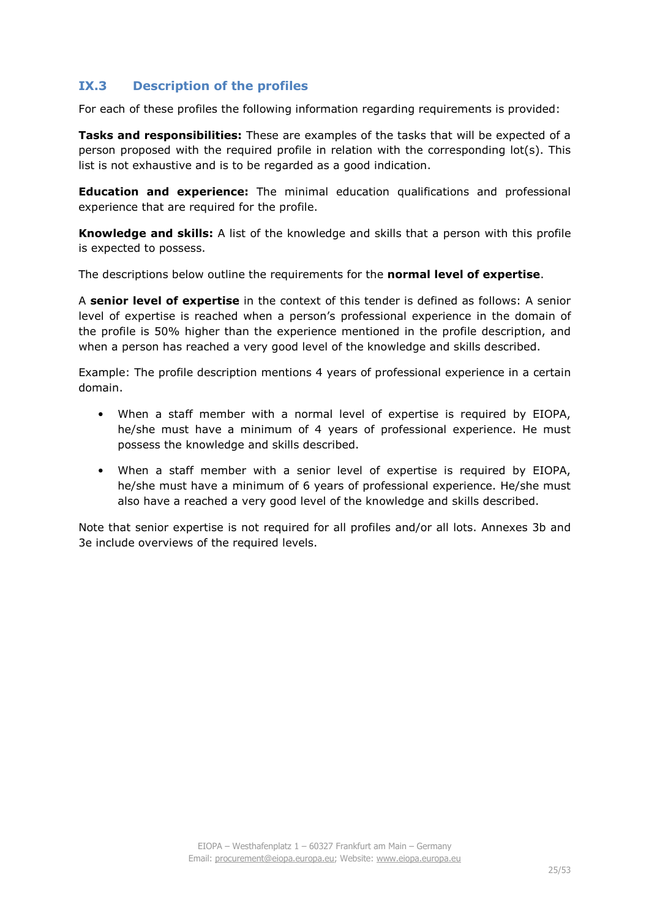## **IX.3 Description of the profiles**

For each of these profiles the following information regarding requirements is provided:

**Tasks and responsibilities:** These are examples of the tasks that will be expected of a person proposed with the required profile in relation with the corresponding lot(s). This list is not exhaustive and is to be regarded as a good indication.

**Education and experience:** The minimal education qualifications and professional experience that are required for the profile.

**Knowledge and skills:** A list of the knowledge and skills that a person with this profile is expected to possess.

The descriptions below outline the requirements for the **normal level of expertise**.

A **senior level of expertise** in the context of this tender is defined as follows: A senior level of expertise is reached when a person's professional experience in the domain of the profile is 50% higher than the experience mentioned in the profile description, and when a person has reached a very good level of the knowledge and skills described.

Example: The profile description mentions 4 years of professional experience in a certain domain.

- When a staff member with a normal level of expertise is required by EIOPA, he/she must have a minimum of 4 years of professional experience. He must possess the knowledge and skills described.
- When a staff member with a senior level of expertise is required by EIOPA, he/she must have a minimum of 6 years of professional experience. He/she must also have a reached a very good level of the knowledge and skills described.

Note that senior expertise is not required for all profiles and/or all lots. Annexes 3b and 3e include overviews of the required levels.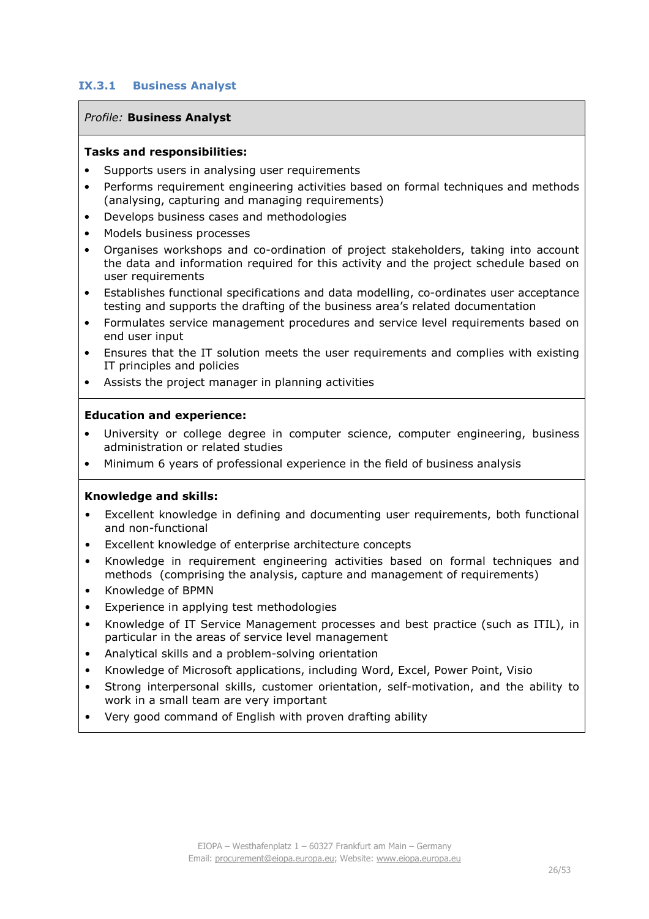### **IX.3.1 Business Analyst**

#### *Profile:* **Business Analyst**

#### **Tasks and responsibilities:**

- Supports users in analysing user requirements
- Performs requirement engineering activities based on formal techniques and methods (analysing, capturing and managing requirements)
- Develops business cases and methodologies
- Models business processes
- Organises workshops and co-ordination of project stakeholders, taking into account the data and information required for this activity and the project schedule based on user requirements
- Establishes functional specifications and data modelling, co-ordinates user acceptance testing and supports the drafting of the business area's related documentation
- Formulates service management procedures and service level requirements based on end user input
- Ensures that the IT solution meets the user requirements and complies with existing IT principles and policies
- Assists the project manager in planning activities

#### **Education and experience:**

- University or college degree in computer science, computer engineering, business administration or related studies
- Minimum 6 years of professional experience in the field of business analysis

- Excellent knowledge in defining and documenting user requirements, both functional and non-functional
- Excellent knowledge of enterprise architecture concepts
- Knowledge in requirement engineering activities based on formal techniques and methods (comprising the analysis, capture and management of requirements)
- Knowledge of BPMN
- Experience in applying test methodologies
- Knowledge of IT Service Management processes and best practice (such as ITIL), in particular in the areas of service level management
- Analytical skills and a problem-solving orientation
- Knowledge of Microsoft applications, including Word, Excel, Power Point, Visio
- Strong interpersonal skills, customer orientation, self-motivation, and the ability to work in a small team are very important
- Very good command of English with proven drafting ability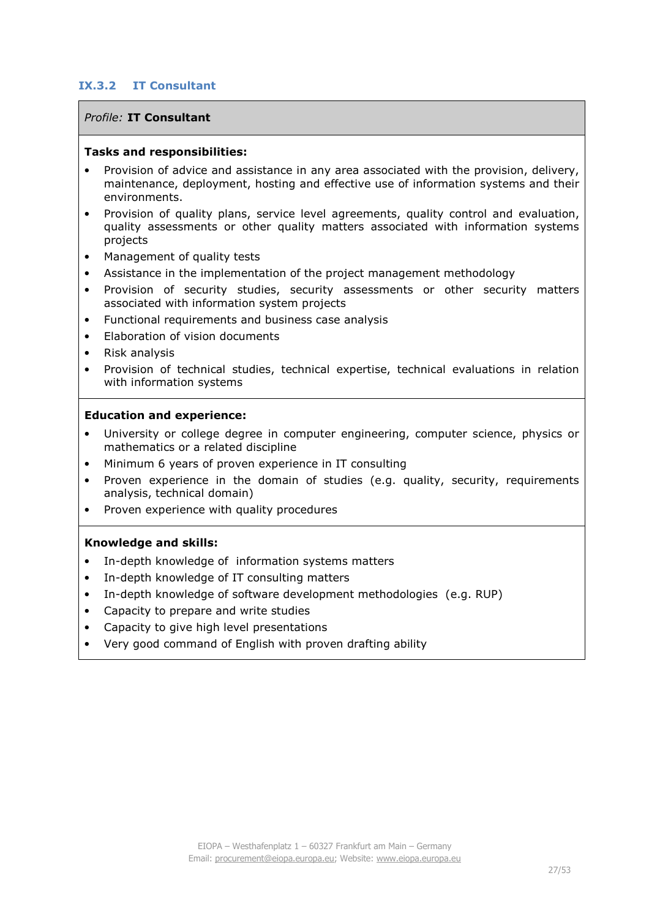## **IX.3.2 IT Consultant**

#### *Profile:* **IT Consultant**

#### **Tasks and responsibilities:**

- Provision of advice and assistance in any area associated with the provision, delivery, maintenance, deployment, hosting and effective use of information systems and their environments.
- Provision of quality plans, service level agreements, quality control and evaluation, quality assessments or other quality matters associated with information systems projects
- Management of quality tests
- Assistance in the implementation of the project management methodology
- Provision of security studies, security assessments or other security matters associated with information system projects
- Functional requirements and business case analysis
- Elaboration of vision documents
- Risk analysis
- Provision of technical studies, technical expertise, technical evaluations in relation with information systems

#### **Education and experience:**

- University or college degree in computer engineering, computer science, physics or mathematics or a related discipline
- Minimum 6 years of proven experience in IT consulting
- Proven experience in the domain of studies (e.g. quality, security, requirements analysis, technical domain)
- Proven experience with quality procedures

- In-depth knowledge of information systems matters
- In-depth knowledge of IT consulting matters
- In-depth knowledge of software development methodologies (e.g. RUP)
- Capacity to prepare and write studies
- Capacity to give high level presentations
- Very good command of English with proven drafting ability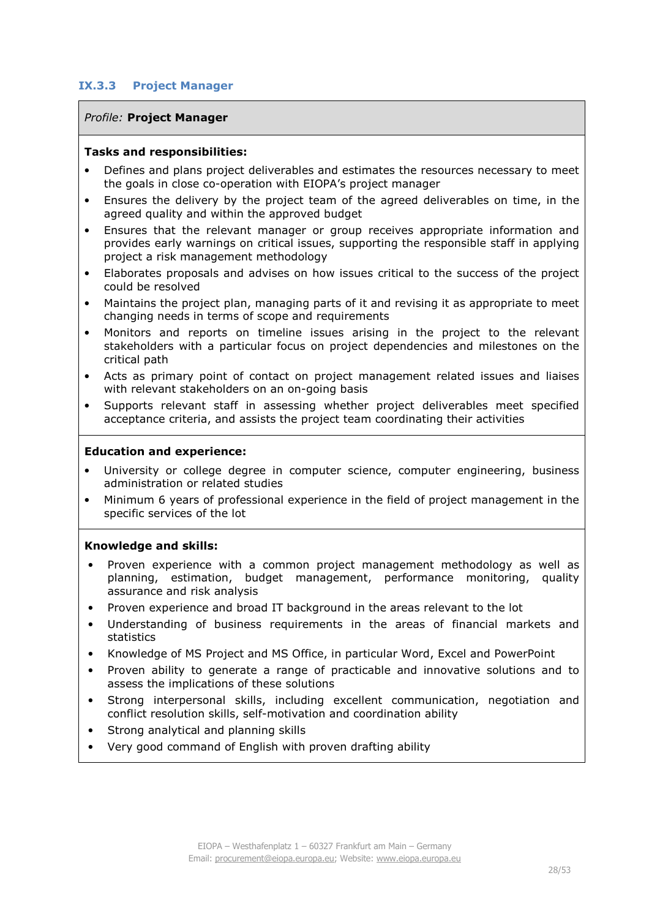#### **IX.3.3 Project Manager**

#### *Profile:* **Project Manager**

#### **Tasks and responsibilities:**

- Defines and plans project deliverables and estimates the resources necessary to meet the goals in close co-operation with EIOPA's project manager
- Ensures the delivery by the project team of the agreed deliverables on time, in the agreed quality and within the approved budget
- Ensures that the relevant manager or group receives appropriate information and provides early warnings on critical issues, supporting the responsible staff in applying project a risk management methodology
- Elaborates proposals and advises on how issues critical to the success of the project could be resolved
- Maintains the project plan, managing parts of it and revising it as appropriate to meet changing needs in terms of scope and requirements
- Monitors and reports on timeline issues arising in the project to the relevant stakeholders with a particular focus on project dependencies and milestones on the critical path
- Acts as primary point of contact on project management related issues and liaises with relevant stakeholders on an on-going basis
- Supports relevant staff in assessing whether project deliverables meet specified acceptance criteria, and assists the project team coordinating their activities

#### **Education and experience:**

- University or college degree in computer science, computer engineering, business administration or related studies
- Minimum 6 years of professional experience in the field of project management in the specific services of the lot

- Proven experience with a common project management methodology as well as planning, estimation, budget management, performance monitoring, quality assurance and risk analysis
- Proven experience and broad IT background in the areas relevant to the lot
- Understanding of business requirements in the areas of financial markets and statistics
- Knowledge of MS Project and MS Office, in particular Word, Excel and PowerPoint
- Proven ability to generate a range of practicable and innovative solutions and to assess the implications of these solutions
- Strong interpersonal skills, including excellent communication, negotiation and conflict resolution skills, self-motivation and coordination ability
- Strong analytical and planning skills
- Very good command of English with proven drafting ability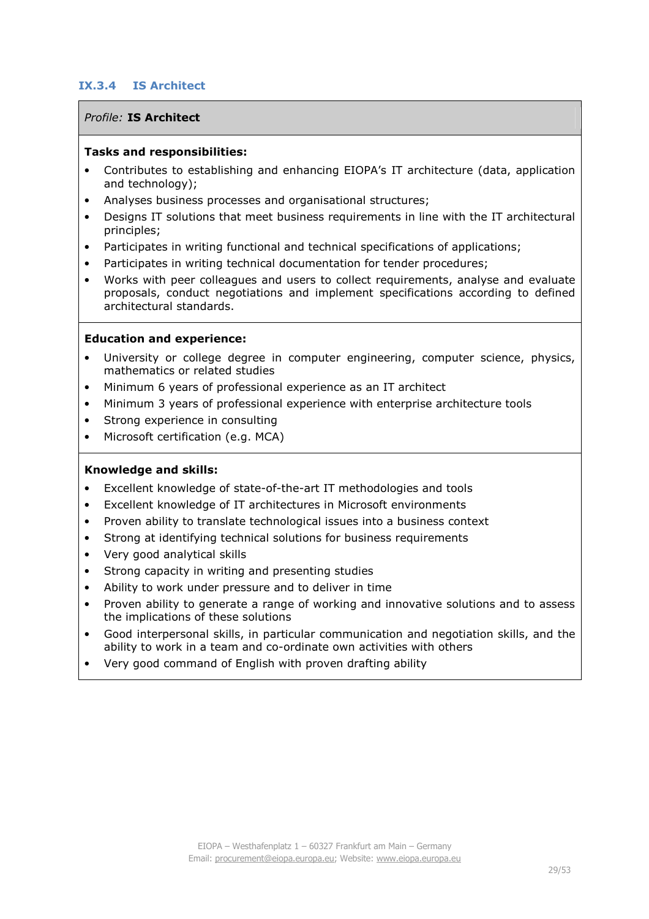## **IX.3.4 IS Architect**

## *Profile:* **IS Architect**

#### **Tasks and responsibilities:**

- Contributes to establishing and enhancing EIOPA's IT architecture (data, application and technology);
- Analyses business processes and organisational structures;
- Designs IT solutions that meet business requirements in line with the IT architectural principles;
- Participates in writing functional and technical specifications of applications;
- Participates in writing technical documentation for tender procedures;
- Works with peer colleagues and users to collect requirements, analyse and evaluate proposals, conduct negotiations and implement specifications according to defined architectural standards.

#### **Education and experience:**

- University or college degree in computer engineering, computer science, physics, mathematics or related studies
- Minimum 6 years of professional experience as an IT architect
- Minimum 3 years of professional experience with enterprise architecture tools
- Strong experience in consulting
- Microsoft certification (e.g. MCA)

- Excellent knowledge of state-of-the-art IT methodologies and tools
- Excellent knowledge of IT architectures in Microsoft environments
- Proven ability to translate technological issues into a business context
- Strong at identifying technical solutions for business requirements
- Very good analytical skills
- Strong capacity in writing and presenting studies
- Ability to work under pressure and to deliver in time
- Proven ability to generate a range of working and innovative solutions and to assess the implications of these solutions
- Good interpersonal skills, in particular communication and negotiation skills, and the ability to work in a team and co-ordinate own activities with others
- Very good command of English with proven drafting ability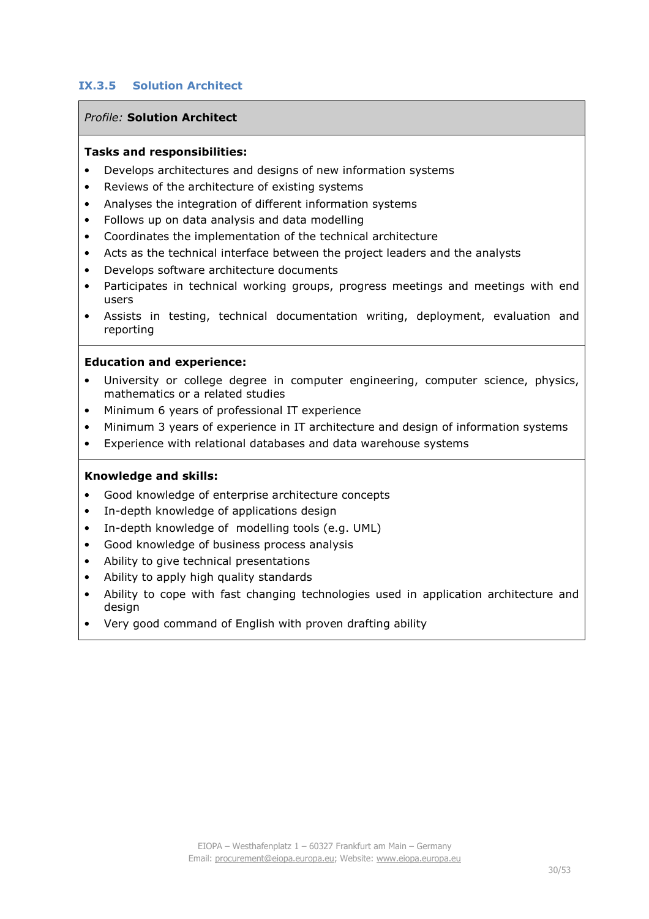## **IX.3.5 Solution Architect**

## *Profile:* **Solution Architect**

#### **Tasks and responsibilities:**

- Develops architectures and designs of new information systems
- Reviews of the architecture of existing systems
- Analyses the integration of different information systems
- Follows up on data analysis and data modelling
- Coordinates the implementation of the technical architecture
- Acts as the technical interface between the project leaders and the analysts
- Develops software architecture documents
- Participates in technical working groups, progress meetings and meetings with end users
- Assists in testing, technical documentation writing, deployment, evaluation and reporting

#### **Education and experience:**

- University or college degree in computer engineering, computer science, physics, mathematics or a related studies
- Minimum 6 years of professional IT experience
- Minimum 3 years of experience in IT architecture and design of information systems
- Experience with relational databases and data warehouse systems

- Good knowledge of enterprise architecture concepts
- In-depth knowledge of applications design
- In-depth knowledge of modelling tools (e.g. UML)
- Good knowledge of business process analysis
- Ability to give technical presentations
- Ability to apply high quality standards
- Ability to cope with fast changing technologies used in application architecture and design
- Very good command of English with proven drafting ability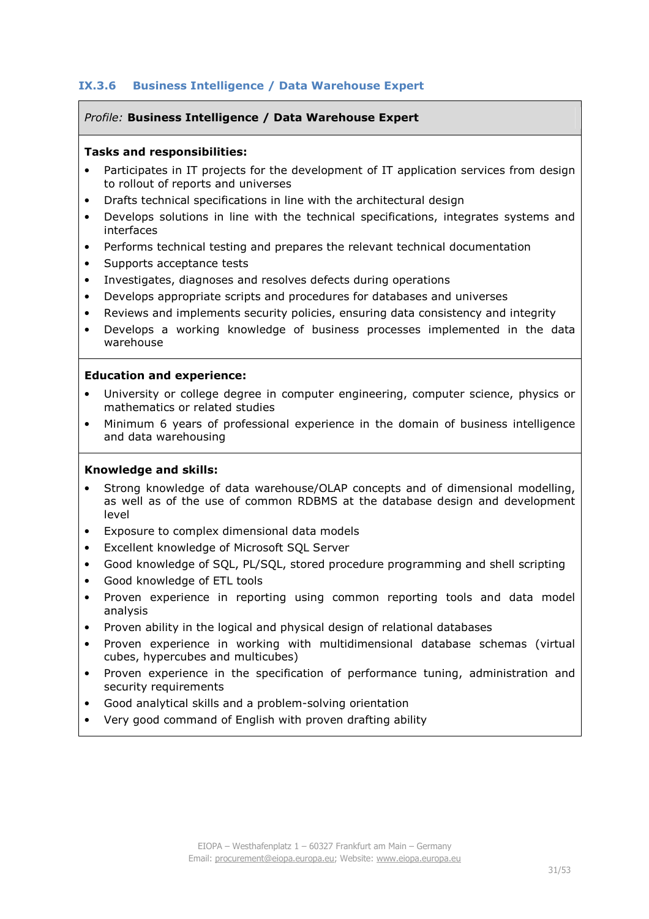## **IX.3.6 Business Intelligence / Data Warehouse Expert**

#### *Profile:* **Business Intelligence / Data Warehouse Expert**

#### **Tasks and responsibilities:**

- Participates in IT projects for the development of IT application services from design to rollout of reports and universes
- Drafts technical specifications in line with the architectural design
- Develops solutions in line with the technical specifications, integrates systems and interfaces
- Performs technical testing and prepares the relevant technical documentation
- Supports acceptance tests
- Investigates, diagnoses and resolves defects during operations
- Develops appropriate scripts and procedures for databases and universes
- Reviews and implements security policies, ensuring data consistency and integrity
- Develops a working knowledge of business processes implemented in the data warehouse

#### **Education and experience:**

- University or college degree in computer engineering, computer science, physics or mathematics or related studies
- Minimum 6 years of professional experience in the domain of business intelligence and data warehousing

- Strong knowledge of data warehouse/OLAP concepts and of dimensional modelling, as well as of the use of common RDBMS at the database design and development level
- Exposure to complex dimensional data models
- Excellent knowledge of Microsoft SQL Server
- Good knowledge of SQL, PL/SQL, stored procedure programming and shell scripting
- Good knowledge of ETL tools
- Proven experience in reporting using common reporting tools and data model analysis
- Proven ability in the logical and physical design of relational databases
- Proven experience in working with multidimensional database schemas (virtual cubes, hypercubes and multicubes)
- Proven experience in the specification of performance tuning, administration and security requirements
- Good analytical skills and a problem-solving orientation
- Very good command of English with proven drafting ability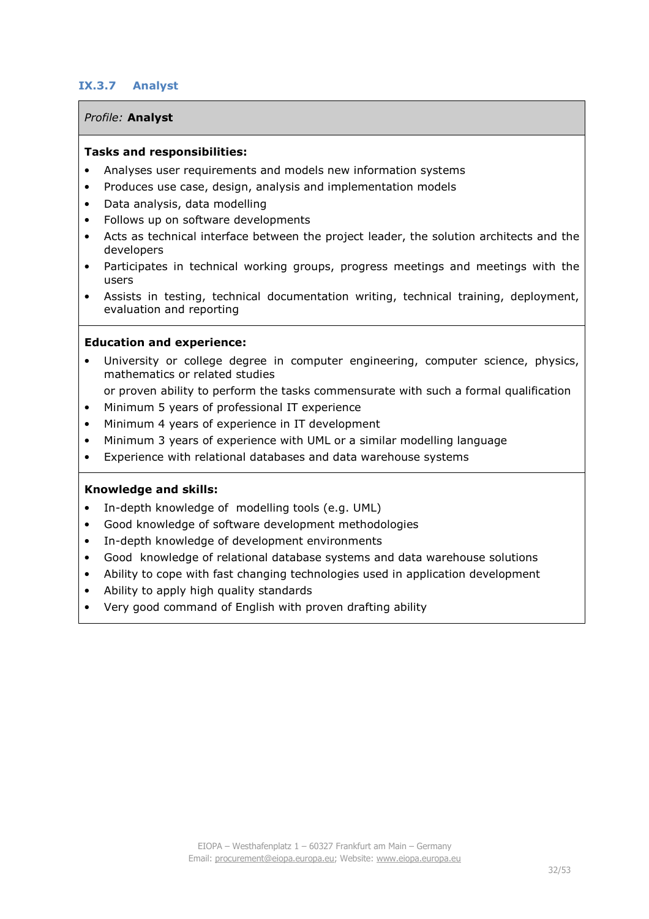## **IX.3.7 Analyst**

#### *Profile:* **Analyst**

#### **Tasks and responsibilities:**

- Analyses user requirements and models new information systems
- Produces use case, design, analysis and implementation models
- Data analysis, data modelling
- Follows up on software developments
- Acts as technical interface between the project leader, the solution architects and the developers
- Participates in technical working groups, progress meetings and meetings with the users
- Assists in testing, technical documentation writing, technical training, deployment, evaluation and reporting

#### **Education and experience:**

- University or college degree in computer engineering, computer science, physics, mathematics or related studies
- or proven ability to perform the tasks commensurate with such a formal qualification
- Minimum 5 years of professional IT experience
- Minimum 4 years of experience in IT development
- Minimum 3 years of experience with UML or a similar modelling language
- Experience with relational databases and data warehouse systems

- In-depth knowledge of modelling tools (e.g. UML)
- Good knowledge of software development methodologies
- In-depth knowledge of development environments
- Good knowledge of relational database systems and data warehouse solutions
- Ability to cope with fast changing technologies used in application development
- Ability to apply high quality standards
- Very good command of English with proven drafting ability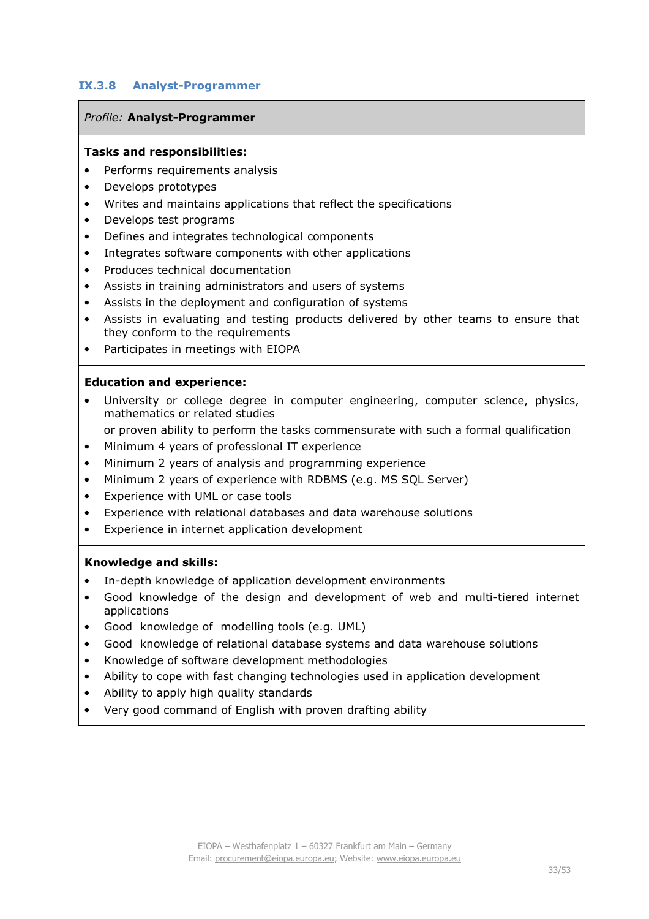## **IX.3.8 Analyst-Programmer**

#### *Profile: Analyst-Programmer*

#### **Tasks and responsibilities:**

- Performs requirements analysis
- Develops prototypes
- Writes and maintains applications that reflect the specifications
- Develops test programs
- Defines and integrates technological components
- Integrates software components with other applications
- Produces technical documentation
- Assists in training administrators and users of systems
- Assists in the deployment and configuration of systems
- Assists in evaluating and testing products delivered by other teams to ensure that they conform to the requirements
- Participates in meetings with EIOPA

#### **Education and experience:**

- University or college degree in computer engineering, computer science, physics, mathematics or related studies
	- or proven ability to perform the tasks commensurate with such a formal qualification
- Minimum 4 years of professional IT experience
- Minimum 2 years of analysis and programming experience
- Minimum 2 years of experience with RDBMS (e.g. MS SQL Server)
- Experience with UML or case tools
- Experience with relational databases and data warehouse solutions
- Experience in internet application development

- In-depth knowledge of application development environments
- Good knowledge of the design and development of web and multi-tiered internet applications
- Good knowledge of modelling tools (e.g. UML)
- Good knowledge of relational database systems and data warehouse solutions
- Knowledge of software development methodologies
- Ability to cope with fast changing technologies used in application development
- Ability to apply high quality standards
- Very good command of English with proven drafting ability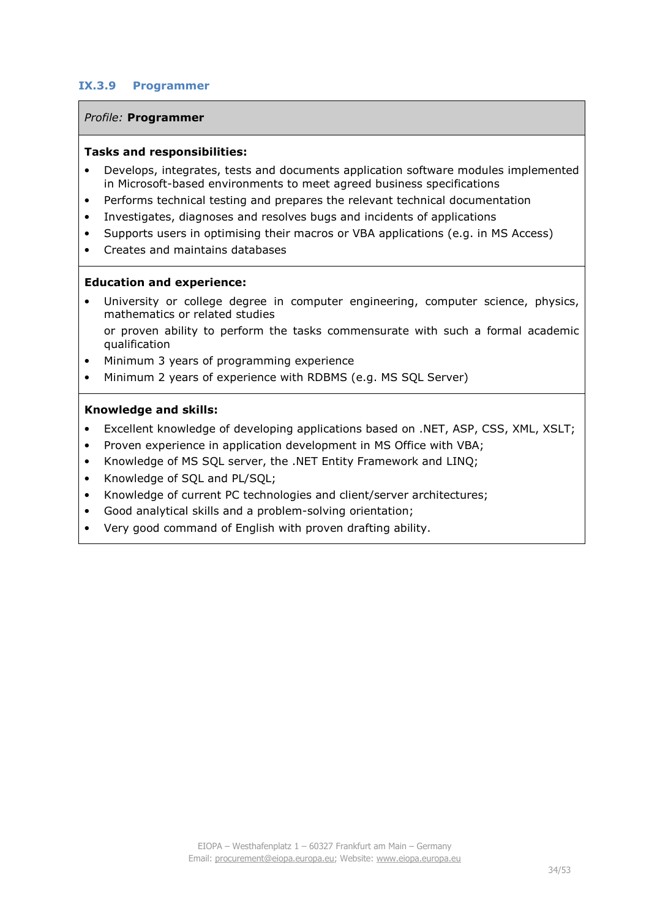#### **IX.3.9 Programmer**

#### *Profile:* **Programmer**

#### **Tasks and responsibilities:**

- Develops, integrates, tests and documents application software modules implemented in Microsoft-based environments to meet agreed business specifications
- Performs technical testing and prepares the relevant technical documentation
- Investigates, diagnoses and resolves bugs and incidents of applications
- Supports users in optimising their macros or VBA applications (e.g. in MS Access)
- Creates and maintains databases

#### **Education and experience:**

- University or college degree in computer engineering, computer science, physics, mathematics or related studies or proven ability to perform the tasks commensurate with such a formal academic qualification
- Minimum 3 years of programming experience
- Minimum 2 years of experience with RDBMS (e.g. MS SQL Server)

- Excellent knowledge of developing applications based on .NET, ASP, CSS, XML, XSLT;
- Proven experience in application development in MS Office with VBA;
- Knowledge of MS SQL server, the .NET Entity Framework and LINQ;
- Knowledge of SQL and PL/SQL;
- Knowledge of current PC technologies and client/server architectures;
- Good analytical skills and a problem-solving orientation;
- Very good command of English with proven drafting ability.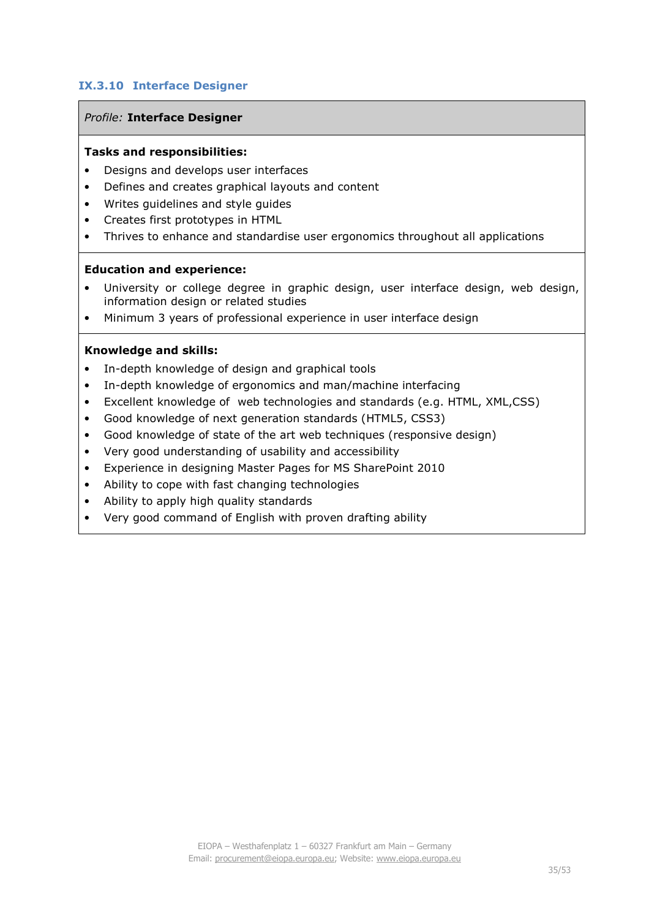## **IX.3.10 Interface Designer**

#### *Profile:* **Interface Designer**

#### **Tasks and responsibilities:**

- Designs and develops user interfaces
- Defines and creates graphical layouts and content
- Writes guidelines and style guides
- Creates first prototypes in HTML
- Thrives to enhance and standardise user ergonomics throughout all applications

#### **Education and experience:**

- University or college degree in graphic design, user interface design, web design, information design or related studies
- Minimum 3 years of professional experience in user interface design

- In-depth knowledge of design and graphical tools
- In-depth knowledge of ergonomics and man/machine interfacing
- Excellent knowledge of web technologies and standards (e.g. HTML, XML,CSS)
- Good knowledge of next generation standards (HTML5, CSS3)
- Good knowledge of state of the art web techniques (responsive design)
- Very good understanding of usability and accessibility
- Experience in designing Master Pages for MS SharePoint 2010
- Ability to cope with fast changing technologies
- Ability to apply high quality standards
- Very good command of English with proven drafting ability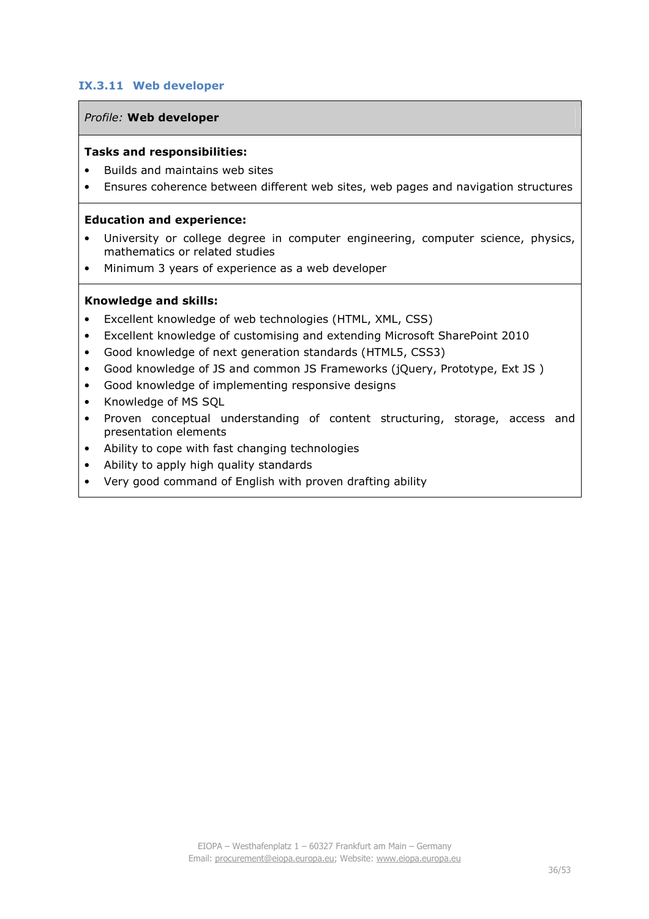## **IX.3.11 Web developer**

#### *Profile:* **Web developer**

#### **Tasks and responsibilities:**

- Builds and maintains web sites
- Ensures coherence between different web sites, web pages and navigation structures

#### **Education and experience:**

- University or college degree in computer engineering, computer science, physics, mathematics or related studies
- Minimum 3 years of experience as a web developer

- Excellent knowledge of web technologies (HTML, XML, CSS)
- Excellent knowledge of customising and extending Microsoft SharePoint 2010
- Good knowledge of next generation standards (HTML5, CSS3)
- Good knowledge of JS and common JS Frameworks (jQuery, Prototype, Ext JS )
- Good knowledge of implementing responsive designs
- Knowledge of MS SQL
- Proven conceptual understanding of content structuring, storage, access and presentation elements
- Ability to cope with fast changing technologies
- Ability to apply high quality standards
- Very good command of English with proven drafting ability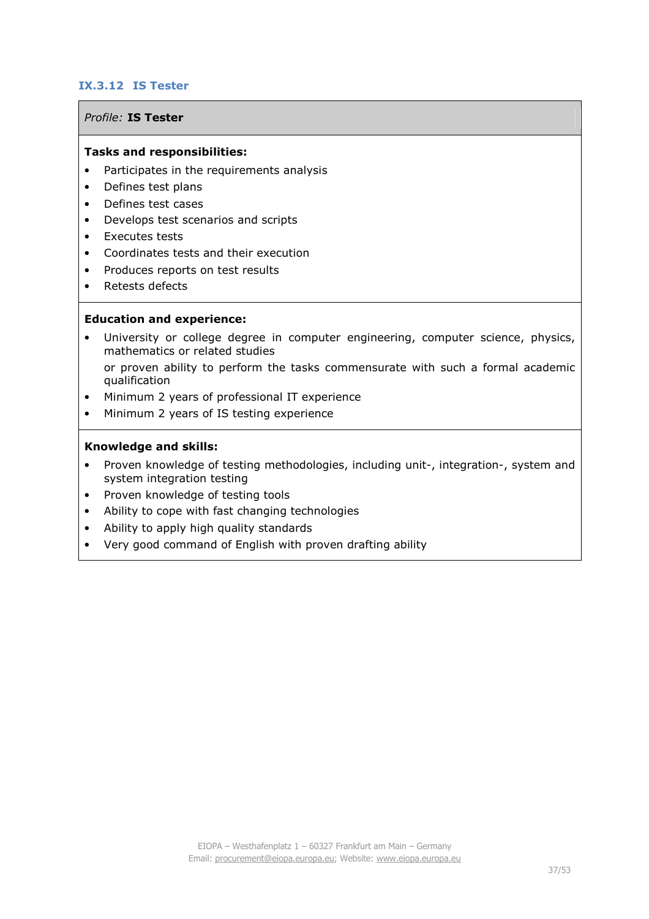## **IX.3.12 IS Tester**

#### *Profile:* **IS Tester**

#### **Tasks and responsibilities:**

- Participates in the requirements analysis
- Defines test plans
- Defines test cases
- Develops test scenarios and scripts
- Executes tests
- Coordinates tests and their execution
- Produces reports on test results
- Retests defects

#### **Education and experience:**

- University or college degree in computer engineering, computer science, physics, mathematics or related studies or proven ability to perform the tasks commensurate with such a formal academic qualification
- Minimum 2 years of professional IT experience
- Minimum 2 years of IS testing experience

- Proven knowledge of testing methodologies, including unit-, integration-, system and system integration testing
- Proven knowledge of testing tools
- Ability to cope with fast changing technologies
- Ability to apply high quality standards
- Very good command of English with proven drafting ability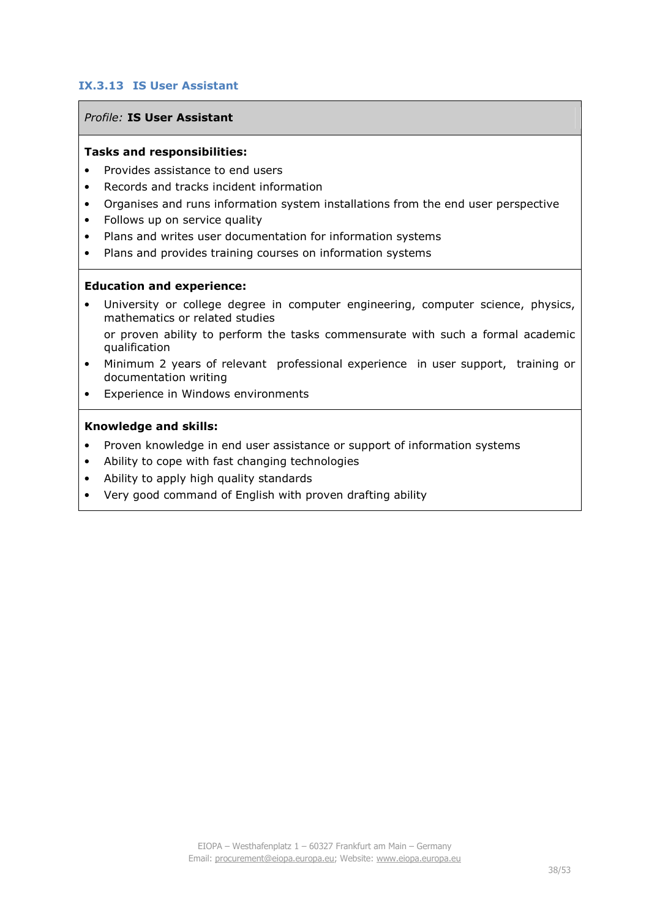## **IX.3.13 IS User Assistant**

#### *Profile:* **IS User Assistant**

#### **Tasks and responsibilities:**

- Provides assistance to end users
- Records and tracks incident information
- Organises and runs information system installations from the end user perspective
- Follows up on service quality
- Plans and writes user documentation for information systems
- Plans and provides training courses on information systems

#### **Education and experience:**

- University or college degree in computer engineering, computer science, physics, mathematics or related studies or proven ability to perform the tasks commensurate with such a formal academic qualification
- Minimum 2 years of relevant professional experience in user support, training or documentation writing
- Experience in Windows environments

- Proven knowledge in end user assistance or support of information systems
- Ability to cope with fast changing technologies
- Ability to apply high quality standards
- Very good command of English with proven drafting ability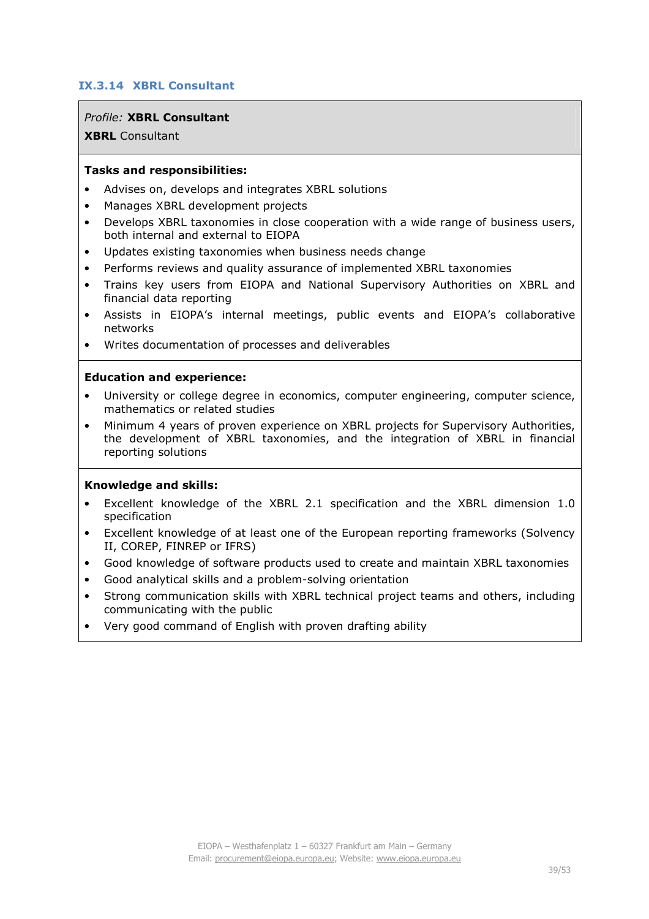## **IX.3.14 XBRL Consultant**

#### *Profile:* **XBRL Consultant**

**XBRL** Consultant

#### **Tasks and responsibilities:**

- Advises on, develops and integrates XBRL solutions
- Manages XBRL development projects
- Develops XBRL taxonomies in close cooperation with a wide range of business users, both internal and external to EIOPA
- Updates existing taxonomies when business needs change
- Performs reviews and quality assurance of implemented XBRL taxonomies
- Trains key users from EIOPA and National Supervisory Authorities on XBRL and financial data reporting
- Assists in EIOPA's internal meetings, public events and EIOPA's collaborative networks
- Writes documentation of processes and deliverables

#### **Education and experience:**

- University or college degree in economics, computer engineering, computer science, mathematics or related studies
- Minimum 4 years of proven experience on XBRL projects for Supervisory Authorities, the development of XBRL taxonomies, and the integration of XBRL in financial reporting solutions

- Excellent knowledge of the XBRL 2.1 specification and the XBRL dimension 1.0 specification
- Excellent knowledge of at least one of the European reporting frameworks (Solvency II, COREP, FINREP or IFRS)
- Good knowledge of software products used to create and maintain XBRL taxonomies
- Good analytical skills and a problem-solving orientation
- Strong communication skills with XBRL technical project teams and others, including communicating with the public
- Very good command of English with proven drafting ability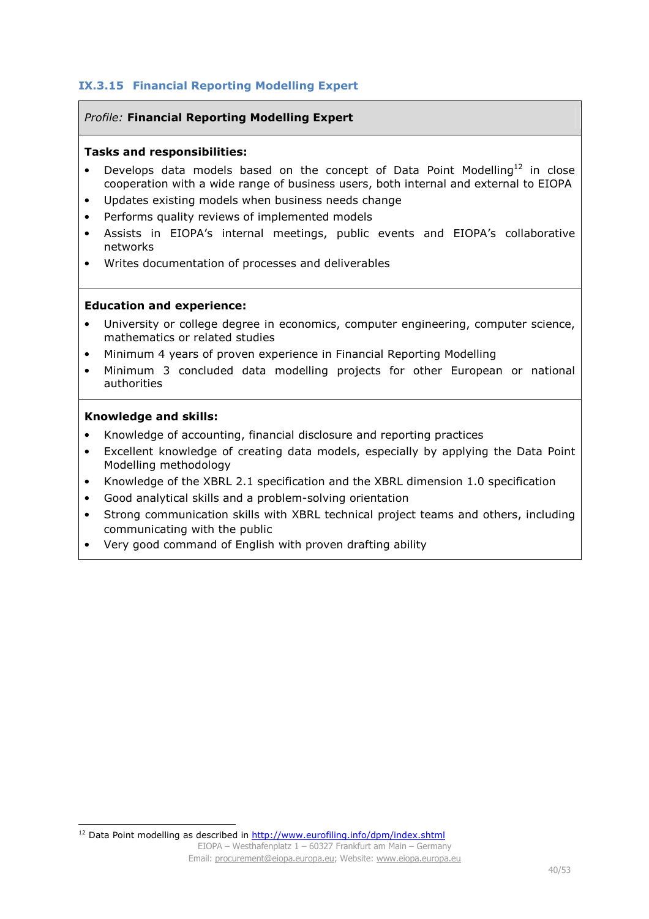## **IX.3.15 Financial Reporting Modelling Expert**

#### *Profile:* **Financial Reporting Modelling Expert**

#### **Tasks and responsibilities:**

- Develops data models based on the concept of Data Point Modelling<sup>12</sup> in close cooperation with a wide range of business users, both internal and external to EIOPA
- Updates existing models when business needs change
- Performs quality reviews of implemented models
- Assists in EIOPA's internal meetings, public events and EIOPA's collaborative networks
- Writes documentation of processes and deliverables

#### **Education and experience:**

- University or college degree in economics, computer engineering, computer science, mathematics or related studies
- Minimum 4 years of proven experience in Financial Reporting Modelling
- Minimum 3 concluded data modelling projects for other European or national authorities

#### **Knowledge and skills:**

l

- Knowledge of accounting, financial disclosure and reporting practices
- Excellent knowledge of creating data models, especially by applying the Data Point Modelling methodology
- Knowledge of the XBRL 2.1 specification and the XBRL dimension 1.0 specification
- Good analytical skills and a problem-solving orientation
- Strong communication skills with XBRL technical project teams and others, including communicating with the public
- Very good command of English with proven drafting ability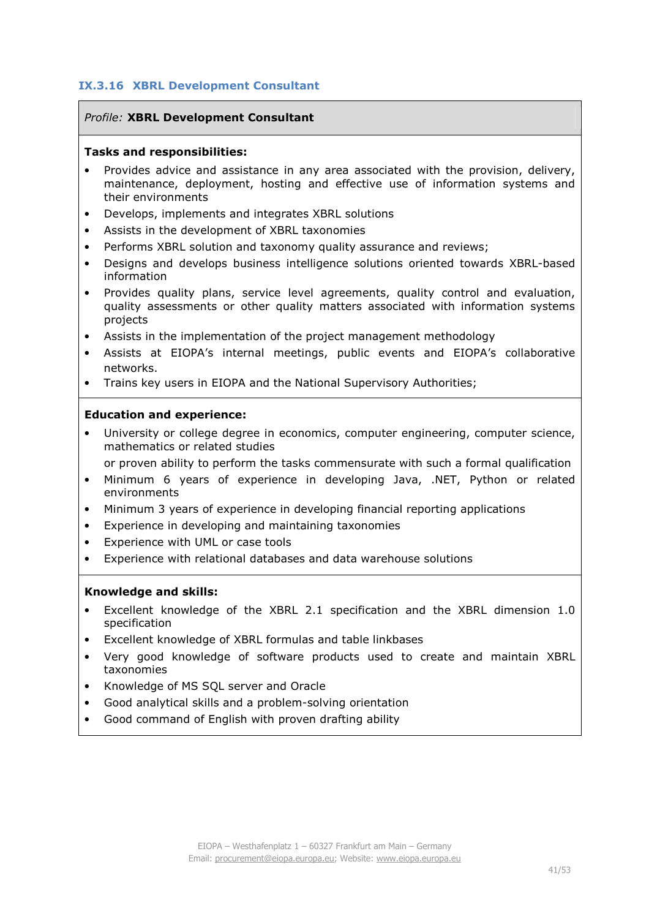## **IX.3.16 XBRL Development Consultant**

#### *Profile:* **XBRL Development Consultant**

#### **Tasks and responsibilities:**

- Provides advice and assistance in any area associated with the provision, delivery, maintenance, deployment, hosting and effective use of information systems and their environments
- Develops, implements and integrates XBRL solutions
- Assists in the development of XBRL taxonomies
- Performs XBRL solution and taxonomy quality assurance and reviews;
- Designs and develops business intelligence solutions oriented towards XBRL?based information
- Provides quality plans, service level agreements, quality control and evaluation, quality assessments or other quality matters associated with information systems projects
- Assists in the implementation of the project management methodology
- Assists at EIOPA's internal meetings, public events and EIOPA's collaborative networks.
- Trains key users in EIOPA and the National Supervisory Authorities;

#### **Education and experience:**

University or college degree in economics, computer engineering, computer science, mathematics or related studies

or proven ability to perform the tasks commensurate with such a formal qualification

- Minimum 6 years of experience in developing Java, .NET, Python or related environments
- Minimum 3 years of experience in developing financial reporting applications
- Experience in developing and maintaining taxonomies
- Experience with UML or case tools
- Experience with relational databases and data warehouse solutions

- Excellent knowledge of the XBRL 2.1 specification and the XBRL dimension 1.0 specification
- Excellent knowledge of XBRL formulas and table linkbases
- Very good knowledge of software products used to create and maintain XBRL taxonomies
- Knowledge of MS SQL server and Oracle
- Good analytical skills and a problem-solving orientation
- Good command of English with proven drafting ability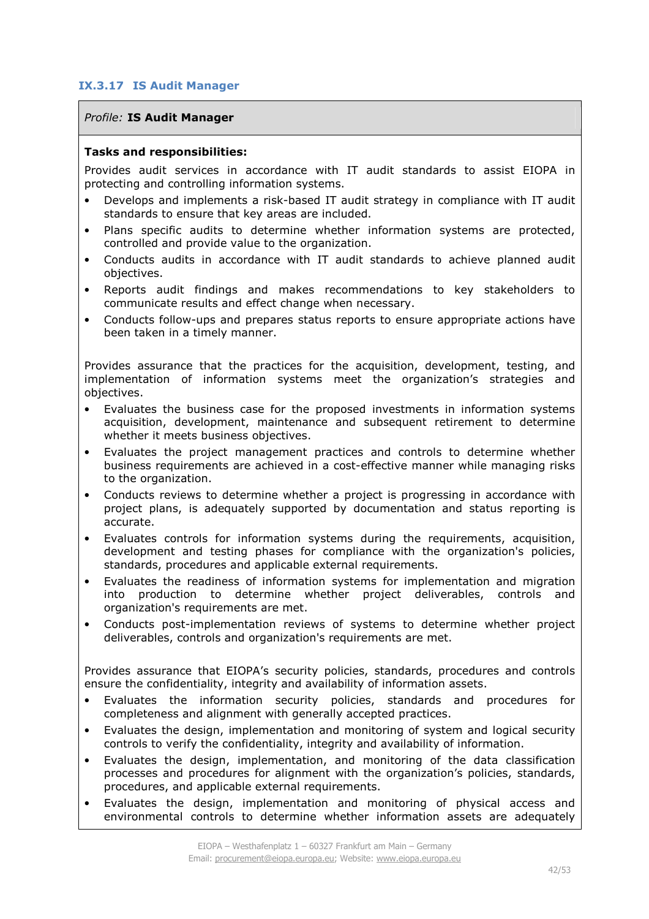## **IX.3.17 IS Audit Manager**

#### *Profile:* **IS Audit Manager**

#### **Tasks and responsibilities:**

Provides audit services in accordance with IT audit standards to assist EIOPA in protecting and controlling information systems.

- Develops and implements a risk-based IT audit strategy in compliance with IT audit standards to ensure that key areas are included.
- Plans specific audits to determine whether information systems are protected, controlled and provide value to the organization.
- Conducts audits in accordance with IT audit standards to achieve planned audit objectives.
- Reports audit findings and makes recommendations to key stakeholders to communicate results and effect change when necessary.
- Conducts follow-ups and prepares status reports to ensure appropriate actions have been taken in a timely manner.

Provides assurance that the practices for the acquisition, development, testing, and implementation of information systems meet the organization's strategies and objectives.

- Evaluates the business case for the proposed investments in information systems acquisition, development, maintenance and subsequent retirement to determine whether it meets business objectives.
- Evaluates the project management practices and controls to determine whether business requirements are achieved in a cost-effective manner while managing risks to the organization.
- Conducts reviews to determine whether a project is progressing in accordance with project plans, is adequately supported by documentation and status reporting is accurate.
- Evaluates controls for information systems during the requirements, acquisition, development and testing phases for compliance with the organization's policies, standards, procedures and applicable external requirements.
- Evaluates the readiness of information systems for implementation and migration into production to determine whether project deliverables, controls and organization's requirements are met.
- Conducts post-implementation reviews of systems to determine whether project deliverables, controls and organization's requirements are met.

Provides assurance that EIOPA's security policies, standards, procedures and controls ensure the confidentiality, integrity and availability of information assets.

- Evaluates the information security policies, standards and procedures for completeness and alignment with generally accepted practices.
- Evaluates the design, implementation and monitoring of system and logical security controls to verify the confidentiality, integrity and availability of information.
- Evaluates the design, implementation, and monitoring of the data classification processes and procedures for alignment with the organization's policies, standards, procedures, and applicable external requirements.
- Evaluates the design, implementation and monitoring of physical access and environmental controls to determine whether information assets are adequately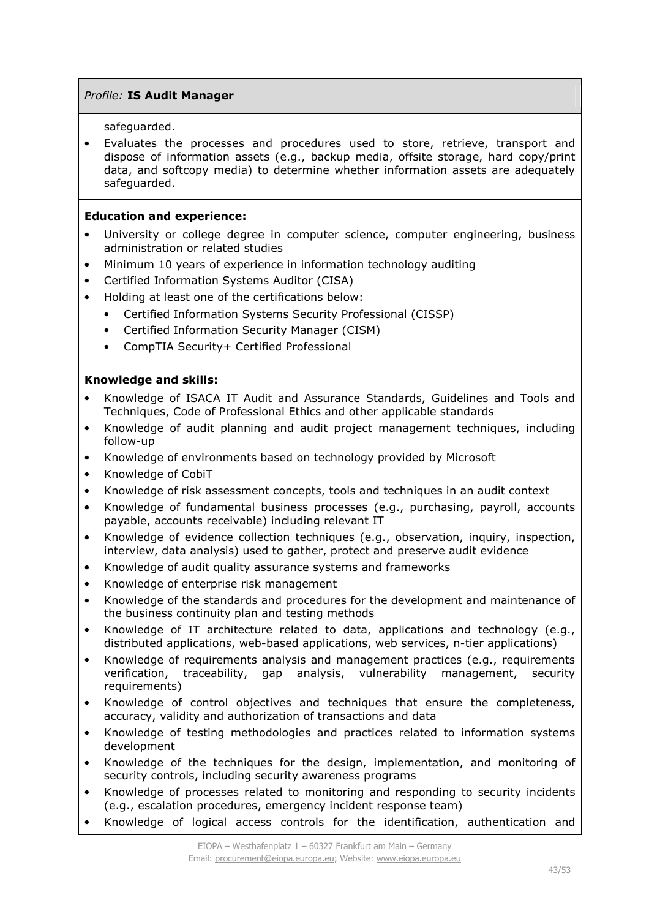## *Profile:* **IS Audit Manager**

safeguarded.

• Evaluates the processes and procedures used to store, retrieve, transport and dispose of information assets (e.g., backup media, offsite storage, hard copy/print data, and softcopy media) to determine whether information assets are adequately safeguarded.

## **Education and experience:**

- University or college degree in computer science, computer engineering, business administration or related studies
- Minimum 10 years of experience in information technology auditing
- Certified Information Systems Auditor (CISA)
- Holding at least one of the certifications below:
	- Certified Information Systems Security Professional (CISSP)
	- Certified Information Security Manager (CISM)
	- CompTIA Security+ Certified Professional

- Knowledge of ISACA IT Audit and Assurance Standards, Guidelines and Tools and Techniques, Code of Professional Ethics and other applicable standards
- Knowledge of audit planning and audit project management techniques, including follow-up
- Knowledge of environments based on technology provided by Microsoft
- Knowledge of CobiT
- Knowledge of risk assessment concepts, tools and techniques in an audit context
- Knowledge of fundamental business processes (e.g., purchasing, payroll, accounts payable, accounts receivable) including relevant IT
- Knowledge of evidence collection techniques (e.g., observation, inquiry, inspection, interview, data analysis) used to gather, protect and preserve audit evidence
- Knowledge of audit quality assurance systems and frameworks
- Knowledge of enterprise risk management
- Knowledge of the standards and procedures for the development and maintenance of the business continuity plan and testing methods
- Knowledge of IT architecture related to data, applications and technology (e.g., distributed applications, web-based applications, web services, n-tier applications)
- Knowledge of requirements analysis and management practices (e.g., requirements verification, traceability, gap analysis, vulnerability management, security requirements)
- Knowledge of control objectives and techniques that ensure the completeness, accuracy, validity and authorization of transactions and data
- Knowledge of testing methodologies and practices related to information systems development
- Knowledge of the techniques for the design, implementation, and monitoring of security controls, including security awareness programs
- Knowledge of processes related to monitoring and responding to security incidents (e.g., escalation procedures, emergency incident response team)
- Knowledge of logical access controls for the identification, authentication and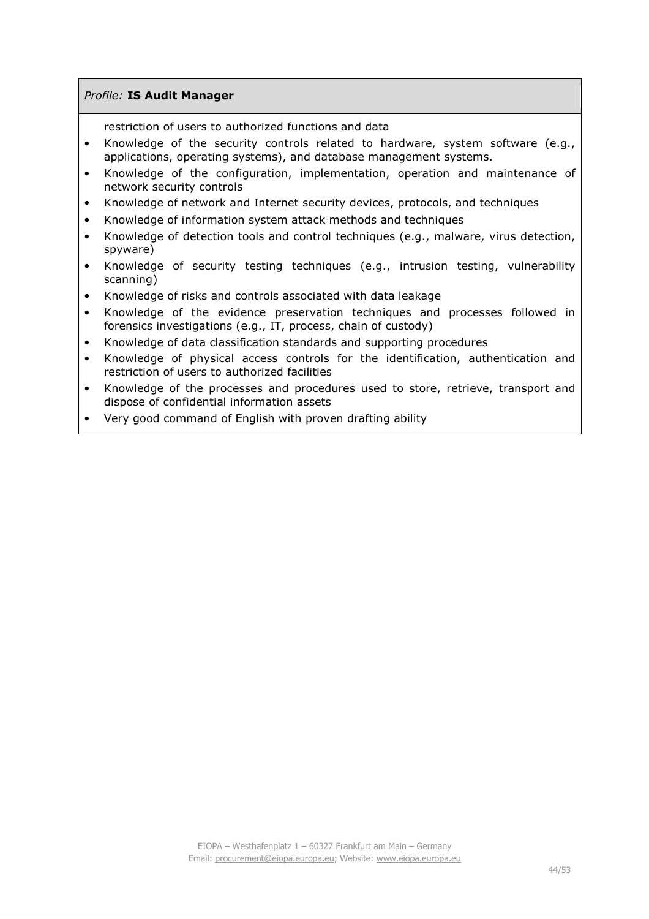## *Profile:* **IS Audit Manager**

restriction of users to authorized functions and data

- Knowledge of the security controls related to hardware, system software (e.g., applications, operating systems), and database management systems.
- Knowledge of the configuration, implementation, operation and maintenance of network security controls
- Knowledge of network and Internet security devices, protocols, and techniques
- Knowledge of information system attack methods and techniques
- Knowledge of detection tools and control techniques (e.g., malware, virus detection, spyware)
- Knowledge of security testing techniques (e.g., intrusion testing, vulnerability scanning)
- Knowledge of risks and controls associated with data leakage
- Knowledge of the evidence preservation techniques and processes followed in forensics investigations (e.g., IT, process, chain of custody)
- Knowledge of data classification standards and supporting procedures
- Knowledge of physical access controls for the identification, authentication and restriction of users to authorized facilities
- Knowledge of the processes and procedures used to store, retrieve, transport and dispose of confidential information assets
- Very good command of English with proven drafting ability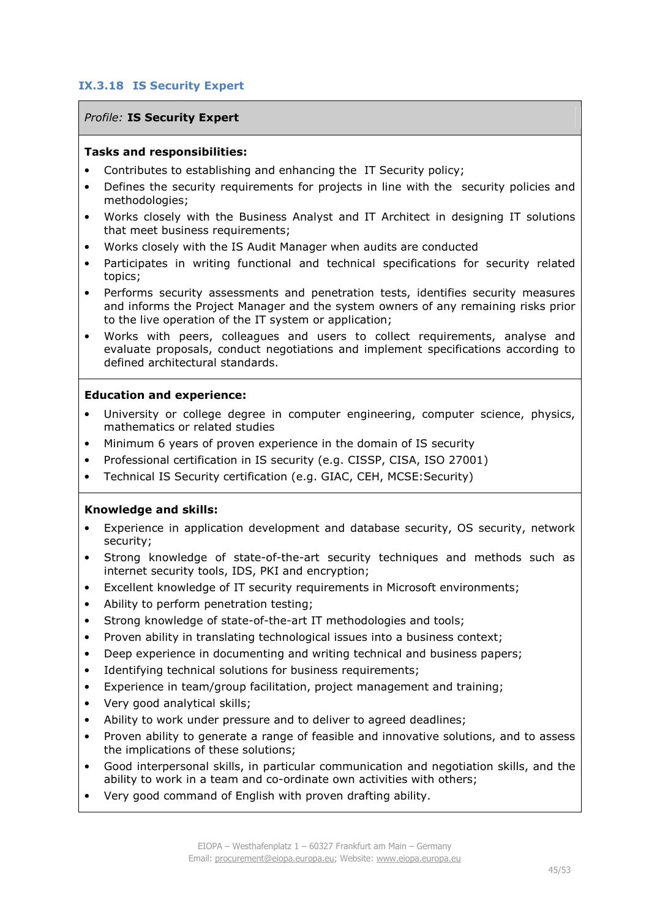## **IX.3.18 IS Security Expert**

#### *Profile:* **IS Security Expert**

#### **Tasks and responsibilities:**

- Contributes to establishing and enhancing the IT Security policy;
- Defines the security requirements for projects in line with the security policies and methodologies;
- Works closely with the Business Analyst and IT Architect in designing IT solutions that meet business requirements;
- Works closely with the IS Audit Manager when audits are conducted
- Participates in writing functional and technical specifications for security related topics;
- Performs security assessments and penetration tests, identifies security measures and informs the Project Manager and the system owners of any remaining risks prior to the live operation of the IT system or application;
- Works with peers, colleagues and users to collect requirements, analyse and evaluate proposals, conduct negotiations and implement specifications according to defined architectural standards.

#### **Education and experience:**

- University or college degree in computer engineering, computer science, physics, mathematics or related studies
- Minimum 6 years of proven experience in the domain of IS security
- Professional certification in IS security (e.g. CISSP, CISA, ISO 27001)
- Technical IS Security certification (e.g. GIAC, CEH, MCSE:Security)

- Experience in application development and database security, OS security, network security;
- Strong knowledge of state-of-the-art security techniques and methods such as internet security tools, IDS, PKI and encryption;
- Excellent knowledge of IT security requirements in Microsoft environments;
- Ability to perform penetration testing;
- Strong knowledge of state-of-the-art IT methodologies and tools;
- Proven ability in translating technological issues into a business context;
- Deep experience in documenting and writing technical and business papers;
- Identifying technical solutions for business requirements;
- Experience in team/group facilitation, project management and training;
- Very good analytical skills;
- Ability to work under pressure and to deliver to agreed deadlines;
- Proven ability to generate a range of feasible and innovative solutions, and to assess the implications of these solutions;
- Good interpersonal skills, in particular communication and negotiation skills, and the ability to work in a team and co-ordinate own activities with others;
- Very good command of English with proven drafting ability.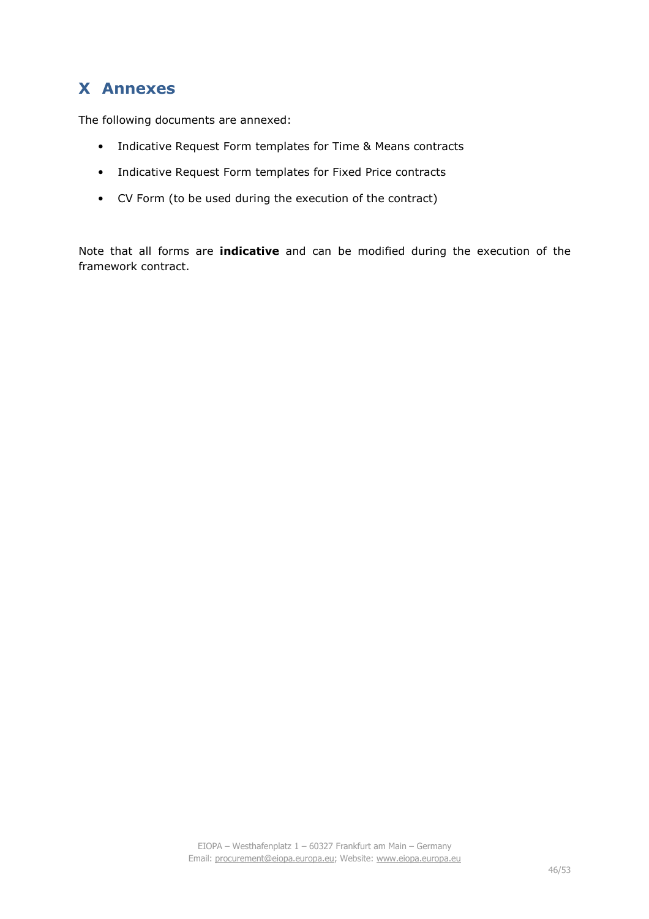## **X Annexes**

The following documents are annexed:

- Indicative Request Form templates for Time & Means contracts
- Indicative Request Form templates for Fixed Price contracts
- CV Form (to be used during the execution of the contract)

Note that all forms are **indicative** and can be modified during the execution of the framework contract.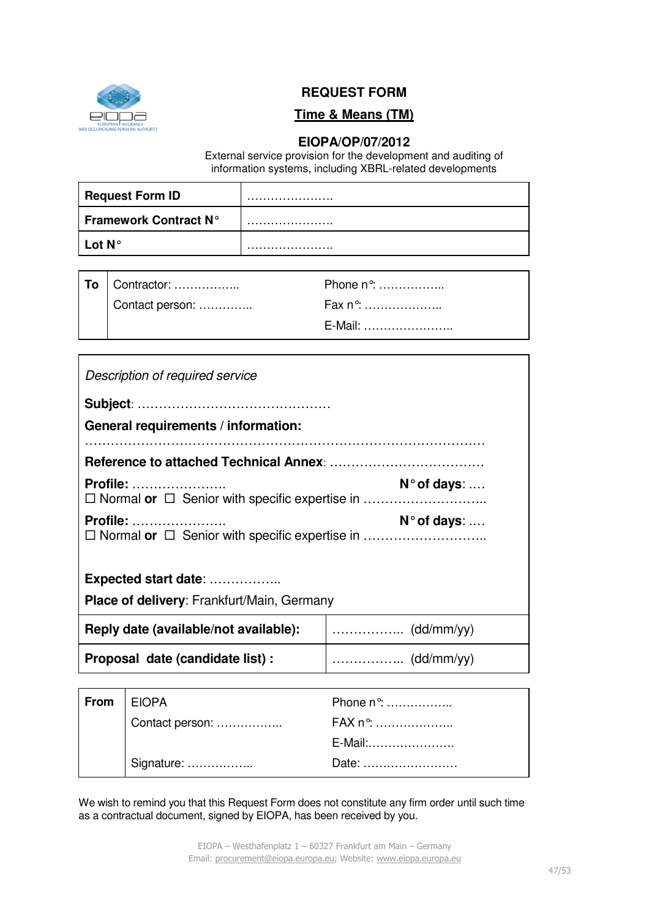

## **REQUEST FORM**

## **Time & Means (TM)**

## **EIOPA/OP/07/2012**

External service provision for the development and auditing of information systems, including XBRL-related developments

| <b>Request Form ID</b>       |  |
|------------------------------|--|
| <b>Framework Contract N°</b> |  |
| Lot $N^{\circ}$              |  |

| To   Contractor: | Phone $n^{\circ}$ : |
|------------------|---------------------|
| Contact person:  | Fax n°: …………………     |
|                  | E-Mail: ……………………    |

| Description of required service                   |  |  |  |  |
|---------------------------------------------------|--|--|--|--|
|                                                   |  |  |  |  |
| General requirements / information:               |  |  |  |  |
|                                                   |  |  |  |  |
| <b>Profile:</b><br>$N^{\circ}$ of days: $\dots$   |  |  |  |  |
| Profile:<br>N° of days:                           |  |  |  |  |
| Expected start date:                              |  |  |  |  |
| <b>Place of delivery: Frankfurt/Main, Germany</b> |  |  |  |  |
| Reply date (available/not available):             |  |  |  |  |
| Proposal date (candidate list) :                  |  |  |  |  |
|                                                   |  |  |  |  |

| From EIOPA |                 | Phone n <sup>o</sup> : |
|------------|-----------------|------------------------|
|            | Contact person: | <b>FAX n°:</b>         |
|            |                 | E-Mail:                |
|            | Signature:      | Date:                  |

We wish to remind you that this Request Form does not constitute any firm order until such time as a contractual document, signed by EIOPA, has been received by you.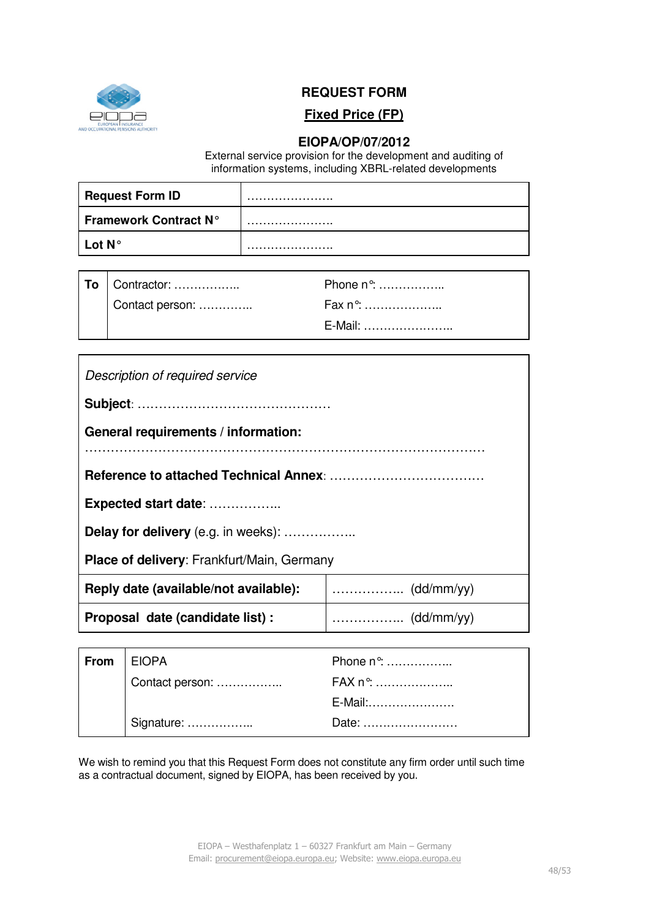

## **REQUEST FORM**

# **Fixed Price (FP)**

## **EIOPA/OP/07/2012**

External service provision for the development and auditing of information systems, including XBRL-related developments

| <b>Request Form ID</b>       |  |
|------------------------------|--|
| <b>Framework Contract N°</b> |  |
| Lot $N^{\circ}$              |  |

| To Contractor:  | Phone n°:        |
|-----------------|------------------|
| Contact person: | Fax n°: …………………  |
|                 | E-Mail: …………………… |

| Description of required service                   |  |  |  |
|---------------------------------------------------|--|--|--|
|                                                   |  |  |  |
| General requirements / information:               |  |  |  |
|                                                   |  |  |  |
|                                                   |  |  |  |
| Expected start date:                              |  |  |  |
| <b>Delay for delivery</b> (e.g. in weeks):        |  |  |  |
| <b>Place of delivery:</b> Frankfurt/Main, Germany |  |  |  |
| Reply date (available/not available):             |  |  |  |
| Proposal date (candidate list) :                  |  |  |  |
|                                                   |  |  |  |
|                                                   |  |  |  |

| From   EIOPA |                 | Phone n°: |
|--------------|-----------------|-----------|
|              | Contact person: | FAX n°:   |
|              |                 | E-Mail:   |
|              | Signature:      | Date:     |

We wish to remind you that this Request Form does not constitute any firm order until such time as a contractual document, signed by EIOPA, has been received by you.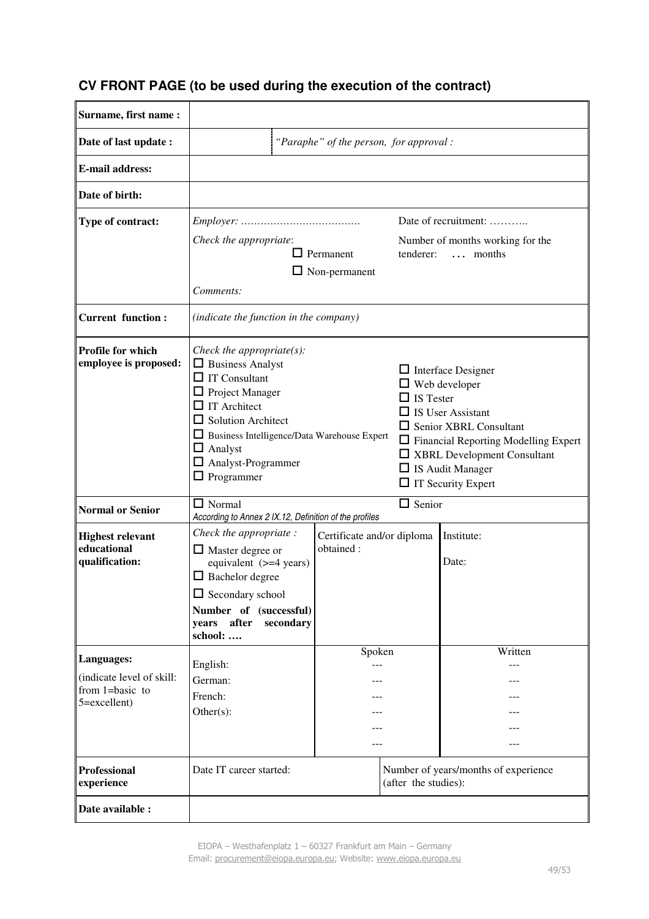## **CV FRONT PAGE (to be used during the execution of the contract)**

| Surname, first name :                                                      |                                                                                                                                                                                                                                                                                   |                                         |                      |                                                                                                                                                                                                                                                             |  |
|----------------------------------------------------------------------------|-----------------------------------------------------------------------------------------------------------------------------------------------------------------------------------------------------------------------------------------------------------------------------------|-----------------------------------------|----------------------|-------------------------------------------------------------------------------------------------------------------------------------------------------------------------------------------------------------------------------------------------------------|--|
| Date of last update :                                                      | "Paraphe" of the person, for approval:                                                                                                                                                                                                                                            |                                         |                      |                                                                                                                                                                                                                                                             |  |
| <b>E-mail address:</b>                                                     |                                                                                                                                                                                                                                                                                   |                                         |                      |                                                                                                                                                                                                                                                             |  |
| Date of birth:                                                             |                                                                                                                                                                                                                                                                                   |                                         |                      |                                                                                                                                                                                                                                                             |  |
| Type of contract:                                                          | $Employee: \ldots \ldots \ldots \ldots \ldots \ldots \ldots \ldots \ldots \ldots \ldots$<br>Check the appropriate:<br>$\Box$ Permanent<br>tenderer:<br>$\Box$ Non-permanent<br>Comments:                                                                                          |                                         |                      | Date of recruitment:<br>Number of months working for the<br>$\ldots$ months                                                                                                                                                                                 |  |
| <b>Current function:</b>                                                   | (indicate the function in the company)                                                                                                                                                                                                                                            |                                         |                      |                                                                                                                                                                                                                                                             |  |
| Profile for which<br>employee is proposed:                                 | Check the appropriate $(s)$ :<br>$\Box$ Business Analyst<br>$\Box$ IT Consultant<br>$\Box$ Project Manager<br>$\Box$ IT Architect<br>$\Box$ Solution Architect<br>Business Intelligence/Data Warehouse Expert<br>$\Box$ Analyst<br>$\Box$ Analyst-Programmer<br>$\Box$ Programmer |                                         | $\Box$ IS Tester     | $\Box$ Interface Designer<br>$\Box$ Web developer<br>$\Box$ IS User Assistant<br>$\Box$ Senior XBRL Consultant<br>$\Box$ Financial Reporting Modelling Expert<br>$\Box$ XBRL Development Consultant<br>$\Box$ IS Audit Manager<br>$\Box$ IT Security Expert |  |
| <b>Normal or Senior</b>                                                    | $\Box$ Senior<br>$\Box$ Normal<br>According to Annex 2 IX.12, Definition of the profiles                                                                                                                                                                                          |                                         |                      |                                                                                                                                                                                                                                                             |  |
| <b>Highest relevant</b><br>educational<br>qualification:                   | Check the appropriate :<br>$\Box$ Master degree or<br>equivalent (>=4 years)<br>$\Box$ Bachelor degree<br>$\Box$ Secondary school<br>Number of (successful)<br>after<br>secondary<br>years<br>school:                                                                             | Certificate and/or diploma<br>obtained: |                      | Institute:<br>Date:                                                                                                                                                                                                                                         |  |
| Languages:<br>(indicate level of skill:<br>from 1=basic to<br>5=excellent) | English:<br>German:<br>French:<br>Other(s):                                                                                                                                                                                                                                       | Spoken                                  |                      | Written                                                                                                                                                                                                                                                     |  |
| <b>Professional</b><br>experience                                          | Date IT career started:                                                                                                                                                                                                                                                           |                                         | (after the studies): | Number of years/months of experience                                                                                                                                                                                                                        |  |
| Date available :                                                           |                                                                                                                                                                                                                                                                                   |                                         |                      |                                                                                                                                                                                                                                                             |  |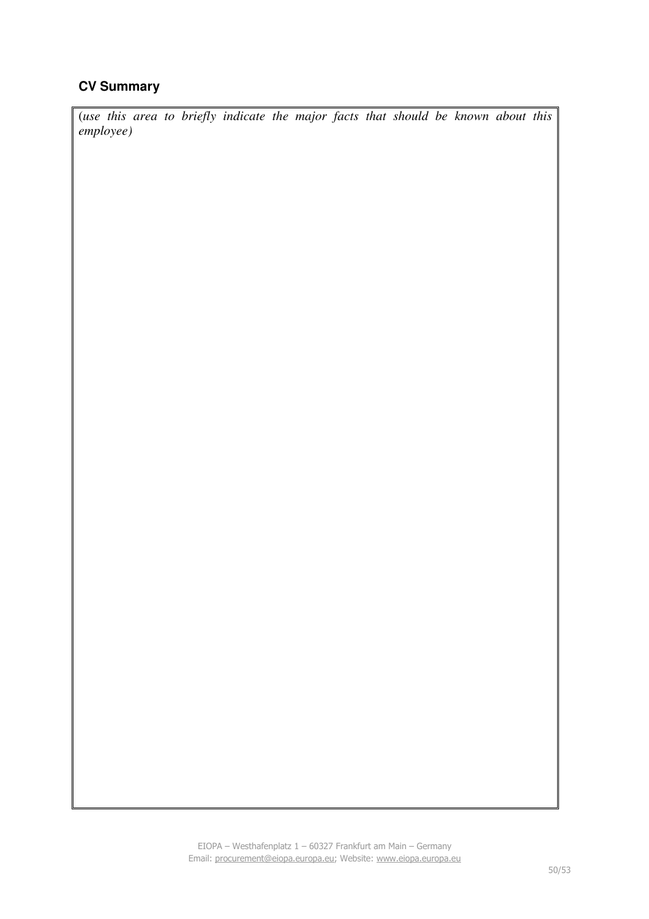## **CV Summary**

(*use this area to briefly indicate the major facts that should be known about this employee)*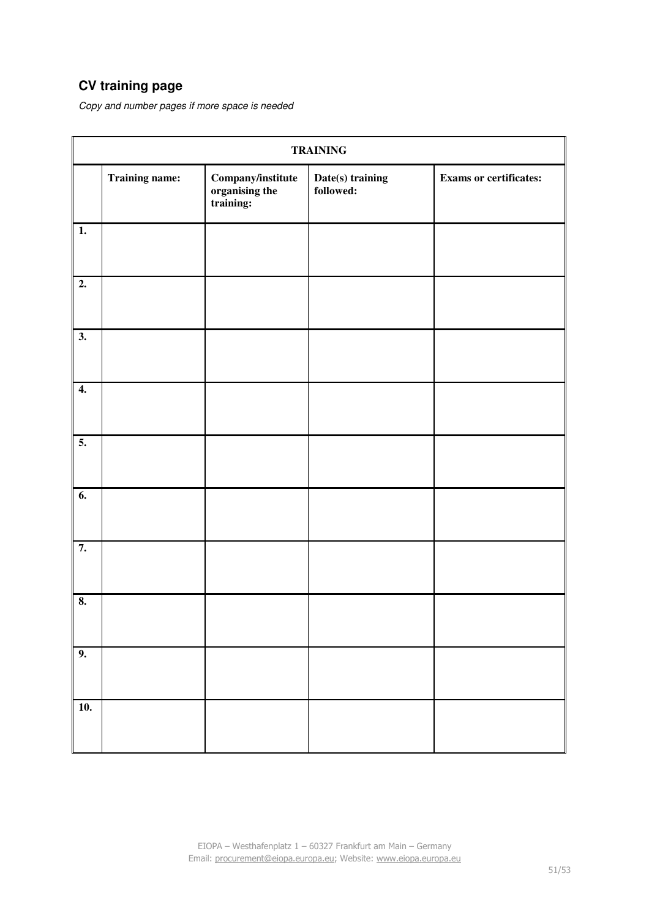## **CV training page**

Copy and number pages if more space is needed

| <b>TRAINING</b>  |                       |                                                  |                               |                               |  |  |
|------------------|-----------------------|--------------------------------------------------|-------------------------------|-------------------------------|--|--|
|                  | <b>Training name:</b> | Company/institute<br>organising the<br>training: | Date(s) training<br>followed: | <b>Exams or certificates:</b> |  |  |
| $\overline{1}$ . |                       |                                                  |                               |                               |  |  |
| $\overline{2}$ . |                       |                                                  |                               |                               |  |  |
| $\overline{3}$ . |                       |                                                  |                               |                               |  |  |
| $\overline{4}$ . |                       |                                                  |                               |                               |  |  |
| 5.               |                       |                                                  |                               |                               |  |  |
| $\overline{6}$ . |                       |                                                  |                               |                               |  |  |
| 7.               |                       |                                                  |                               |                               |  |  |
| 8.               |                       |                                                  |                               |                               |  |  |
| 9.               |                       |                                                  |                               |                               |  |  |
| 10.              |                       |                                                  |                               |                               |  |  |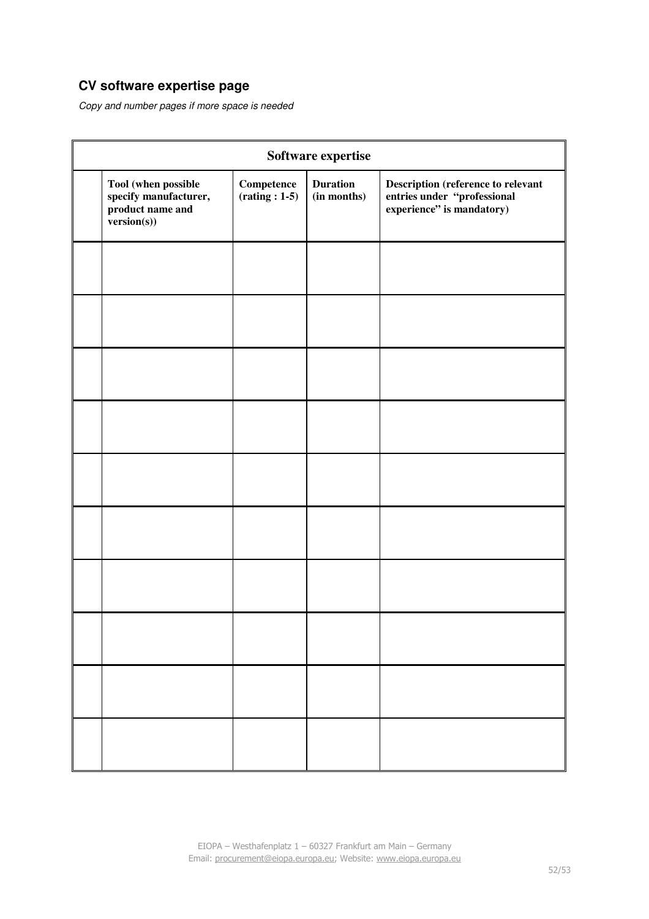## **CV software expertise page**

Copy and number pages if more space is needed

| Software expertise |                                                                                 |                                                               |                                |                                                                                                         |
|--------------------|---------------------------------------------------------------------------------|---------------------------------------------------------------|--------------------------------|---------------------------------------------------------------------------------------------------------|
|                    | Tool (when possible<br>specify manufacturer,<br>product name and<br>version(s)) | $\label{eq:Comptence} \textbf{Competence}$<br>$(rating: 1-5)$ | <b>Duration</b><br>(in months) | <b>Description (reference to relevant<br/>entries under "professional<br/>experience" is mandatory)</b> |
|                    |                                                                                 |                                                               |                                |                                                                                                         |
|                    |                                                                                 |                                                               |                                |                                                                                                         |
|                    |                                                                                 |                                                               |                                |                                                                                                         |
|                    |                                                                                 |                                                               |                                |                                                                                                         |
|                    |                                                                                 |                                                               |                                |                                                                                                         |
|                    |                                                                                 |                                                               |                                |                                                                                                         |
|                    |                                                                                 |                                                               |                                |                                                                                                         |
|                    |                                                                                 |                                                               |                                |                                                                                                         |
|                    |                                                                                 |                                                               |                                |                                                                                                         |
|                    |                                                                                 |                                                               |                                |                                                                                                         |